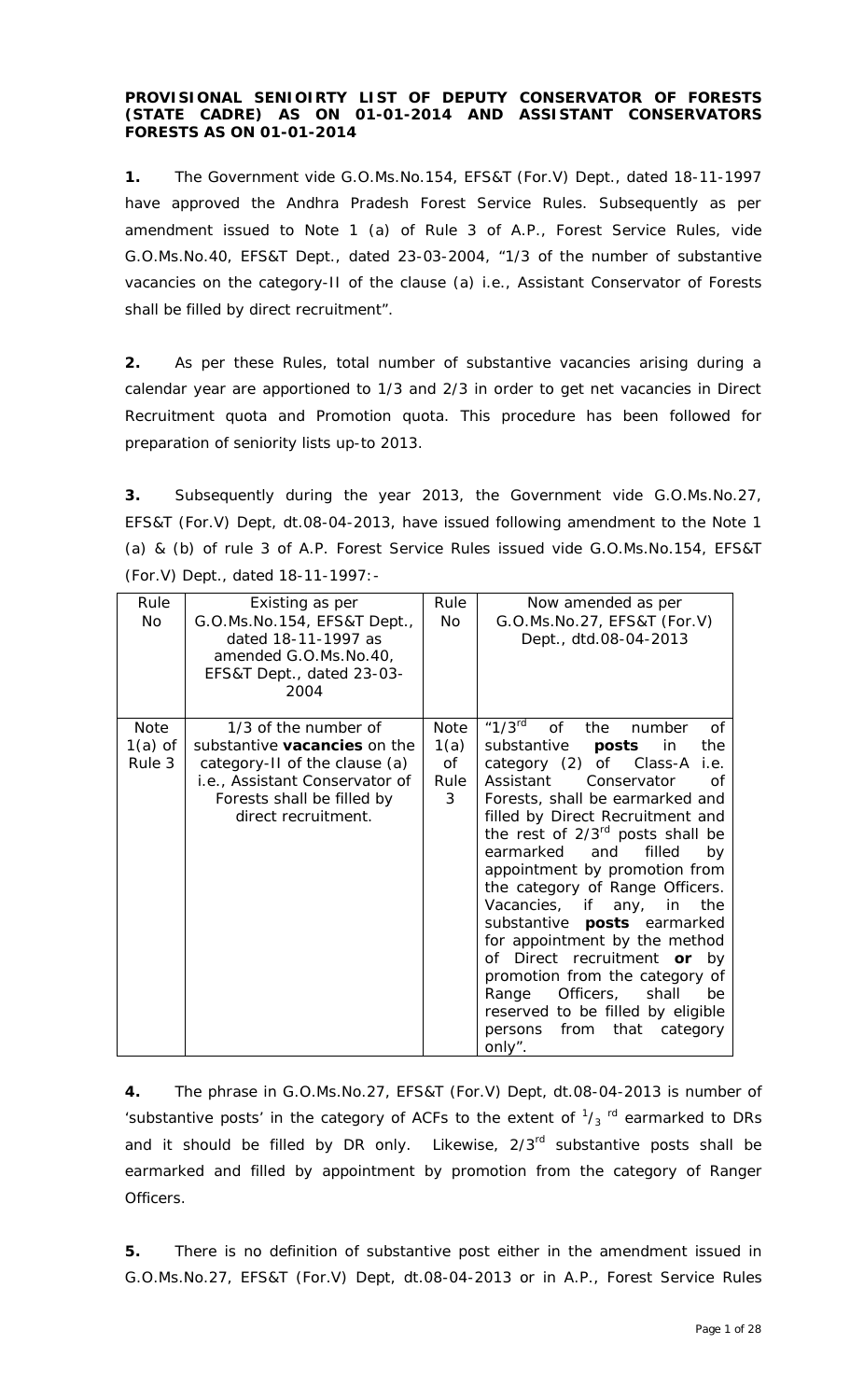#### **PROVISIONAL SENIOIRTY LIST OF DEPUTY CONSERVATOR OF FORESTS (STATE CADRE) AS ON 01-01-2014 AND ASSISTANT CONSERVATORS FORESTS AS ON 01-01-2014**

**1.** The Government vide G.O.Ms.No.154, EFS&T (For.V) Dept., dated 18-11-1997 have approved the Andhra Pradesh Forest Service Rules. Subsequently as per amendment issued to Note 1 (a) of Rule 3 of A.P., Forest Service Rules, vide G.O.Ms.No.40, EFS&T Dept., dated 23-03-2004, "*1/3 of the number of substantive vacancies on the category-II of the clause (a) i.e., Assistant Conservator of Forests shall be filled by direct recruitment*".

**2.** As per these Rules, total number of substantive vacancies arising during a calendar year are apportioned to 1/3 and 2/3 in order to get net vacancies in Direct Recruitment quota and Promotion quota. This procedure has been followed for preparation of seniority lists up-to 2013.

**3.** Subsequently during the year 2013, the Government vide G.O.Ms.No.27, EFS&T (For.V) Dept, dt.08-04-2013, have issued following amendment to the Note 1 (a) & (b) of rule 3 of A.P. Forest Service Rules issued vide G.O.Ms.No.154, EFS&T (For.V) Dept., dated 18-11-1997:-

| Rule<br>No.                 | Existing as per<br>G.O.Ms.No.154, EFS&T Dept.,<br>dated 18-11-1997 as<br>amended G.O.Ms.No.40,<br>EFS&T Dept., dated 23-03-<br>2004                                                 | Rule<br><b>No</b>                      | Now amended as per<br>G.O.Ms.No.27, EFS&T (For.V)<br>Dept., dtd.08-04-2013                                                                                                                                                                                                                                                                                                                                                                                                                                                                                                                                                                                                                                  |
|-----------------------------|-------------------------------------------------------------------------------------------------------------------------------------------------------------------------------------|----------------------------------------|-------------------------------------------------------------------------------------------------------------------------------------------------------------------------------------------------------------------------------------------------------------------------------------------------------------------------------------------------------------------------------------------------------------------------------------------------------------------------------------------------------------------------------------------------------------------------------------------------------------------------------------------------------------------------------------------------------------|
| Note<br>$1(a)$ of<br>Rule 3 | 1/3 of the number of<br>substantive <b>vacancies</b> on the<br>category-II of the clause (a)<br>i.e., Assistant Conservator of<br>Forests shall be filled by<br>direct recruitment. | <b>Note</b><br>1(a)<br>Οf<br>Rule<br>3 | "1/3 $^{\rm rd}$<br>$\circ$ f<br>0f<br>the<br>number<br>substantive<br>posts<br>the<br>in<br>category $(2)$<br>of<br>Class-A<br>i.e.<br>Assistant<br>Conservator<br>Ωf<br>Forests, shall be earmarked and<br>filled by Direct Recruitment and<br>the rest of 2/3 <sup>rd</sup> posts shall be<br>earmarked<br>filled<br>and<br>by<br>appointment by promotion from<br>the category of Range Officers.<br>Vacancies, if any,<br>the<br>in<br>substantive <b>posts</b> earmarked<br>for appointment by the method<br>of Direct recruitment or by<br>promotion from the category of<br>Officers,<br>shall<br>Range<br>be<br>reserved to be filled by eligible<br>that<br>from<br>persons<br>category<br>only". |

**4.** The phrase in G.O.Ms.No.27, EFS&T (For.V) Dept, dt.08-04-2013 is number of 'substantive posts' in the category of ACFs to the extent of  $\frac{1}{3}$  rd earmarked to DRs and it should be filled by DR only. Likewise,  $2/3^{rd}$  substantive posts shall be earmarked and filled by appointment by promotion from the category of Ranger Officers.

**5.** There is no definition of substantive post either in the amendment issued in G.O.Ms.No.27, EFS&T (For.V) Dept, dt.08-04-2013 or in A.P., Forest Service Rules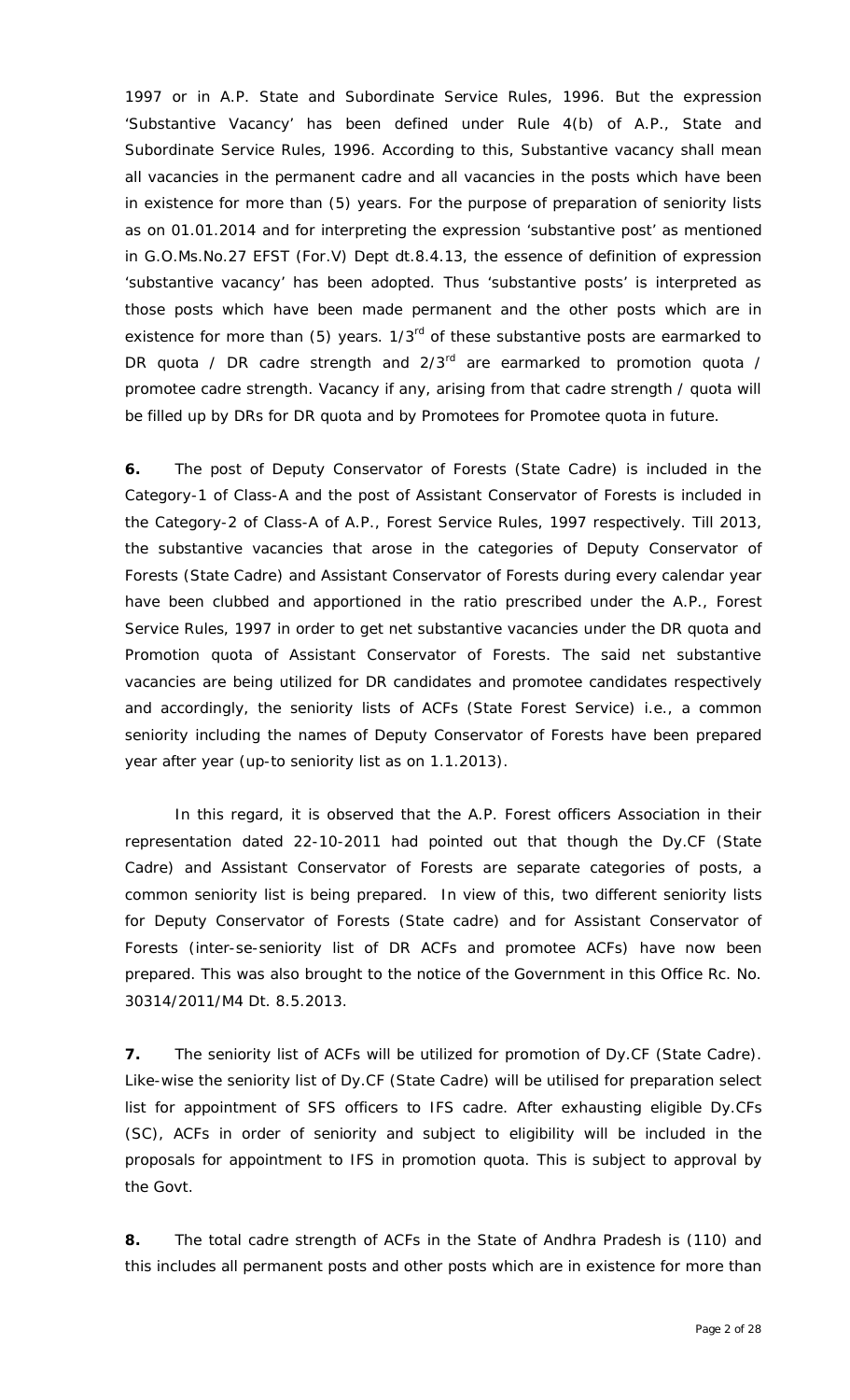1997 or in A.P. State and Subordinate Service Rules, 1996. But the expression 'Substantive Vacancy' has been defined under Rule 4(b) of A.P., State and Subordinate Service Rules, 1996. According to this, Substantive vacancy shall mean all vacancies in the permanent cadre and all vacancies in the posts which have been in existence for more than (5) years. For the purpose of preparation of seniority lists as on 01.01.2014 and for interpreting the expression 'substantive post' as mentioned in G.O.Ms.No.27 EFST (For.V) Dept dt.8.4.13, the essence of definition of expression 'substantive vacancy' has been adopted. Thus 'substantive posts' is interpreted as those posts which have been made permanent and the other posts which are in existence for more than (5) years. 1/3<sup>rd</sup> of these substantive posts are earmarked to DR quota / DR cadre strength and  $2/3^{rd}$  are earmarked to promotion quota / promotee cadre strength. Vacancy if any, arising from that cadre strength / quota will be filled up by DRs for DR quota and by Promotees for Promotee quota in future.

**6.** The post of Deputy Conservator of Forests (State Cadre) is included in the Category-1 of Class-A and the post of Assistant Conservator of Forests is included in the Category-2 of Class-A of A.P., Forest Service Rules, 1997 respectively. Till 2013, the substantive vacancies that arose in the categories of Deputy Conservator of Forests (State Cadre) and Assistant Conservator of Forests during every calendar year have been clubbed and apportioned in the ratio prescribed under the A.P., Forest Service Rules, 1997 in order to get net substantive vacancies under the DR quota and Promotion quota of Assistant Conservator of Forests. The said net substantive vacancies are being utilized for DR candidates and promotee candidates respectively and accordingly, the seniority lists of ACFs (State Forest Service) i.e., a common seniority including the names of Deputy Conservator of Forests have been prepared year after year (up-to seniority list as on 1.1.2013).

In this regard, it is observed that the A.P. Forest officers Association in their representation dated 22-10-2011 had pointed out that though the Dy.CF (State Cadre) and Assistant Conservator of Forests are separate categories of posts, a common seniority list is being prepared. In view of this, two different seniority lists for Deputy Conservator of Forests (State cadre) and for Assistant Conservator of Forests (inter-se-seniority list of DR ACFs and promotee ACFs) have now been prepared. This was also brought to the notice of the Government in this Office Rc. No. 30314/2011/M4 Dt. 8.5.2013.

**7.** The seniority list of ACFs will be utilized for promotion of Dy.CF (State Cadre). Like-wise the seniority list of Dy.CF (State Cadre) will be utilised for preparation select list for appointment of SFS officers to IFS cadre. After exhausting eligible Dy.CFs (SC), ACFs in order of seniority and subject to eligibility will be included in the proposals for appointment to IFS in promotion quota. This is subject to approval by the Govt.

**8.** The total cadre strength of ACFs in the State of Andhra Pradesh is (110) and this includes all permanent posts and other posts which are in existence for more than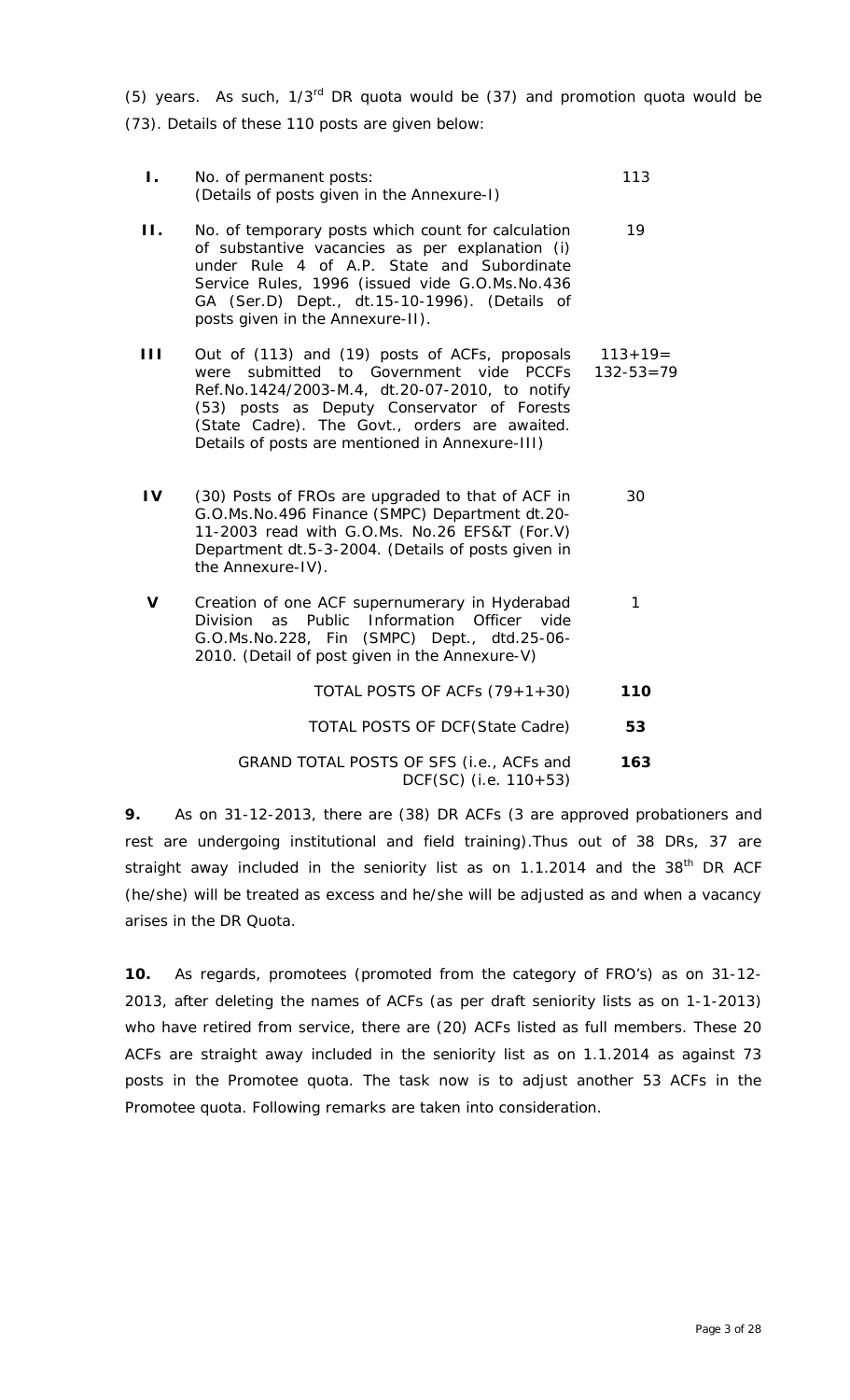(5) years. As such,  $1/3^{rd}$  DR quota would be (37) and promotion quota would be (73). Details of these 110 posts are given below:

| Ι. | No. of permanent posts:<br>(Details of posts given in the Annexure-I)                                                                                                                                                                                                                          | 113                             |
|----|------------------------------------------------------------------------------------------------------------------------------------------------------------------------------------------------------------------------------------------------------------------------------------------------|---------------------------------|
| П. | No. of temporary posts which count for calculation<br>of substantive vacancies as per explanation (i)<br>under Rule 4 of A.P. State and Subordinate<br>Service Rules, 1996 (issued vide G.O.Ms.No.436<br>GA (Ser.D) Dept., dt.15-10-1996). (Details of<br>posts given in the Annexure-II).     | 19                              |
| Ш  | Out of (113) and (19) posts of ACFs, proposals<br>were submitted to Government vide PCCFs<br>Ref.No.1424/2003-M.4, dt.20-07-2010, to notify<br>(53) posts as Deputy Conservator of Forests<br>(State Cadre). The Govt., orders are awaited.<br>Details of posts are mentioned in Annexure-III) | $113 + 19 =$<br>$132 - 53 = 79$ |
| IV | (30) Posts of FROs are upgraded to that of ACF in<br>G.O.Ms.No.496 Finance (SMPC) Department dt.20-<br>11-2003 read with G.O.Ms. No.26 EFS&T (For.V)<br>Department dt.5-3-2004. (Details of posts given in<br>the Annexure-IV).                                                                | 30                              |
| V  | Creation of one ACF supernumerary in Hyderabad<br>Division as Public Information Officer vide<br>G.O.Ms.No.228, Fin (SMPC) Dept., dtd.25-06-<br>2010. (Detail of post given in the Annexure-V)                                                                                                 | 1                               |
|    | TOTAL POSTS OF ACFs (79+1+30)                                                                                                                                                                                                                                                                  | 110                             |
|    | <b>TOTAL POSTS OF DCF (State Cadre)</b>                                                                                                                                                                                                                                                        | 53                              |
|    | GRAND TOTAL POSTS OF SFS (i.e., ACFs and<br>DCF(SC) (i.e. 110+53)                                                                                                                                                                                                                              | 163                             |

**9.** As on 31-12-2013, there are (38) DR ACFs (3 are approved probationers and rest are undergoing institutional and field training).Thus out of 38 DRs, 37 are straight away included in the seniority list as on 1.1.2014 and the 38<sup>th</sup> DR ACF (he/she) will be treated as excess and he/she will be adjusted as and when a vacancy arises in the DR Quota.

**10.** As regards, promotees (promoted from the category of FRO's) as on 31-12- 2013, after deleting the names of ACFs (as per draft seniority lists as on 1-1-2013) who have retired from service, there are (20) ACFs listed as full members. These 20 ACFs are straight away included in the seniority list as on 1.1.2014 as against 73 posts in the Promotee quota. The task now is to adjust another 53 ACFs in the Promotee quota. Following remarks are taken into consideration.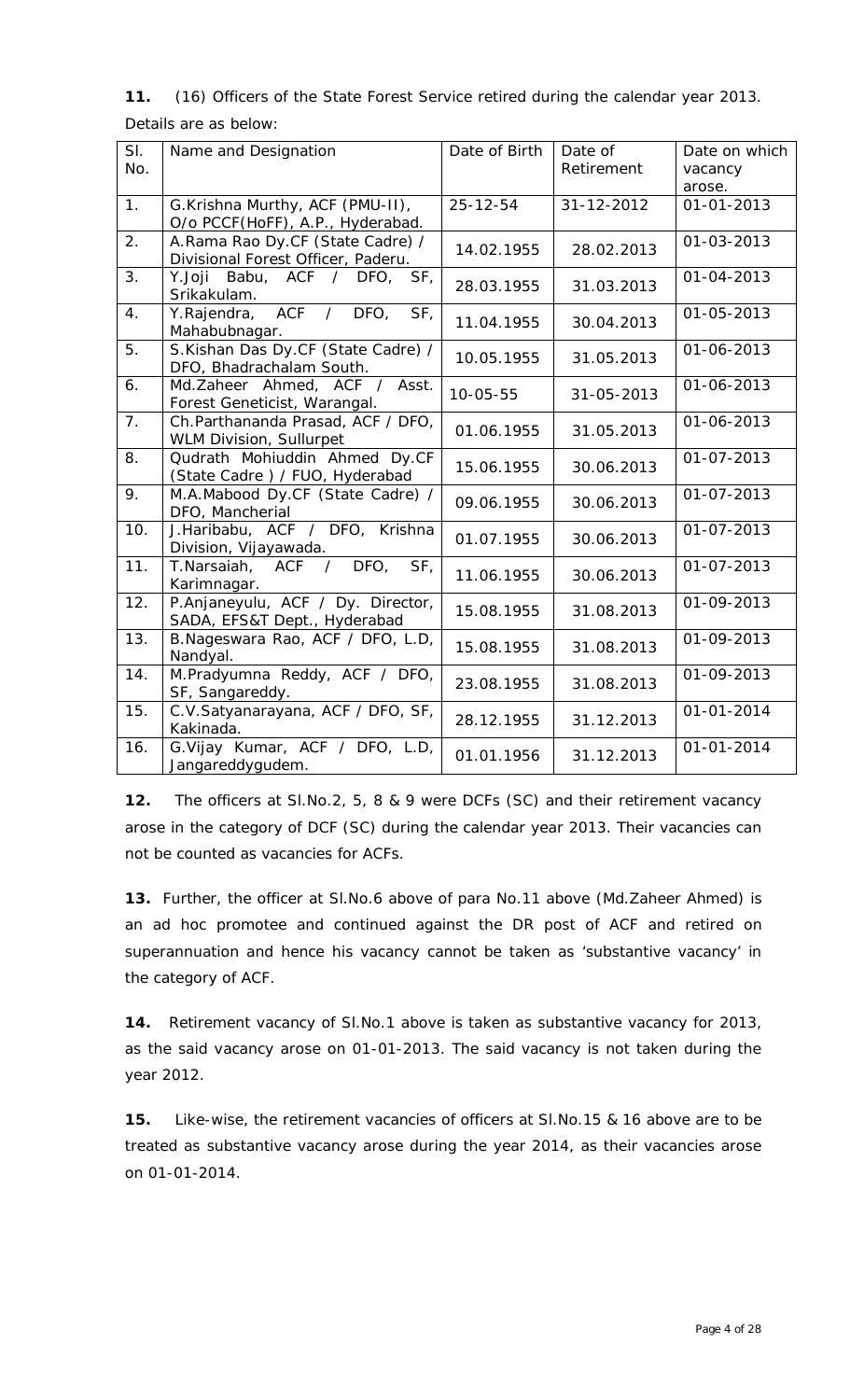# **11.** (16) Officers of the State Forest Service retired during the calendar year 2013. Details are as below:

| SI.<br>No. | Name and Designation                                                   | Date of Birth  | Date of<br>Retirement | Date on which<br>vacancy<br>arose. |
|------------|------------------------------------------------------------------------|----------------|-----------------------|------------------------------------|
| 1.         | G.Krishna Murthy, ACF (PMU-II),<br>O/o PCCF(HoFF), A.P., Hyderabad.    | $25 - 12 - 54$ | 31-12-2012            | 01-01-2013                         |
| 2.         | A.Rama Rao Dy.CF (State Cadre) /<br>Divisional Forest Officer, Paderu. | 14.02.1955     | 28.02.2013            | 01-03-2013                         |
| 3.         | Y.Joji Babu, ACF / DFO,<br>SF <sub>1</sub><br>Srikakulam.              | 28.03.1955     | 31.03.2013            | 01-04-2013                         |
| 4.         | ACF / DFO,<br>SF,<br>Y.Rajendra,<br>Mahabubnagar.                      | 11.04.1955     | 30.04.2013            | 01-05-2013                         |
| 5.         | S.Kishan Das Dy.CF (State Cadre) /<br>DFO, Bhadrachalam South.         | 10.05.1955     | 31.05.2013            | 01-06-2013                         |
| 6.         | Md.Zaheer Ahmed, ACF / Asst.<br>Forest Geneticist, Warangal.           | $10 - 05 - 55$ | 31-05-2013            | 01-06-2013                         |
| 7.         | Ch.Parthananda Prasad, ACF / DFO,<br>WLM Division, Sullurpet           | 01.06.1955     | 31.05.2013            | 01-06-2013                         |
| 8.         | Qudrath Mohiuddin Ahmed Dy.CF<br>(State Cadre) / FUO, Hyderabad        | 15.06.1955     | 30.06.2013            | 01-07-2013                         |
| 9.         | M.A.Mabood Dy.CF (State Cadre) /<br>DFO, Mancherial                    | 09.06.1955     | 30.06.2013            | 01-07-2013                         |
| 10.        | J.Haribabu, ACF / DFO, Krishna<br>Division, Vijayawada.                | 01.07.1955     | 30.06.2013            | 01-07-2013                         |
| 11.        | T.Narsaiah, ACF / DFO,<br>SF <sub>1</sub><br>Karimnagar.               | 11.06.1955     | 30.06.2013            | 01-07-2013                         |
| 12.        | P.Anjaneyulu, ACF / Dy. Director,<br>SADA, EFS&T Dept., Hyderabad      | 15.08.1955     | 31.08.2013            | 01-09-2013                         |
| 13.        | B.Nageswara Rao, ACF / DFO, L.D,<br>Nandyal.                           | 15.08.1955     | 31.08.2013            | 01-09-2013                         |
| 14.        | M.Pradyumna Reddy, ACF / DFO,<br>SF, Sangareddy.                       | 23.08.1955     | 31.08.2013            | 01-09-2013                         |
| 15.        | C.V.Satyanarayana, ACF / DFO, SF,<br>Kakinada.                         | 28.12.1955     | 31.12.2013            | $01 - 01 - 2014$                   |
| 16.        | G.Vijay Kumar, ACF / DFO, L.D,<br>Jangareddygudem.                     | 01.01.1956     | 31.12.2013            | $01 - 01 - 2014$                   |

**12.** The officers at Sl.No.2, 5, 8 & 9 were DCFs (SC) and their retirement vacancy arose in the category of DCF (SC) during the calendar year 2013. Their vacancies can not be counted as vacancies for ACFs.

**13.** Further, the officer at Sl.No.6 above of para No.11 above (Md.Zaheer Ahmed) is an *ad hoc* promotee and continued against the DR post of ACF and retired on superannuation and hence his vacancy cannot be taken as 'substantive vacancy' in the category of ACF.

**14.** Retirement vacancy of Sl.No.1 above is taken as substantive vacancy for 2013, as the said vacancy arose on 01-01-2013. The said vacancy is not taken during the year 2012.

**15.** Like-wise, the retirement vacancies of officers at Sl.No.15 & 16 above are to be treated as substantive vacancy arose during the year 2014, as their vacancies arose on 01-01-2014.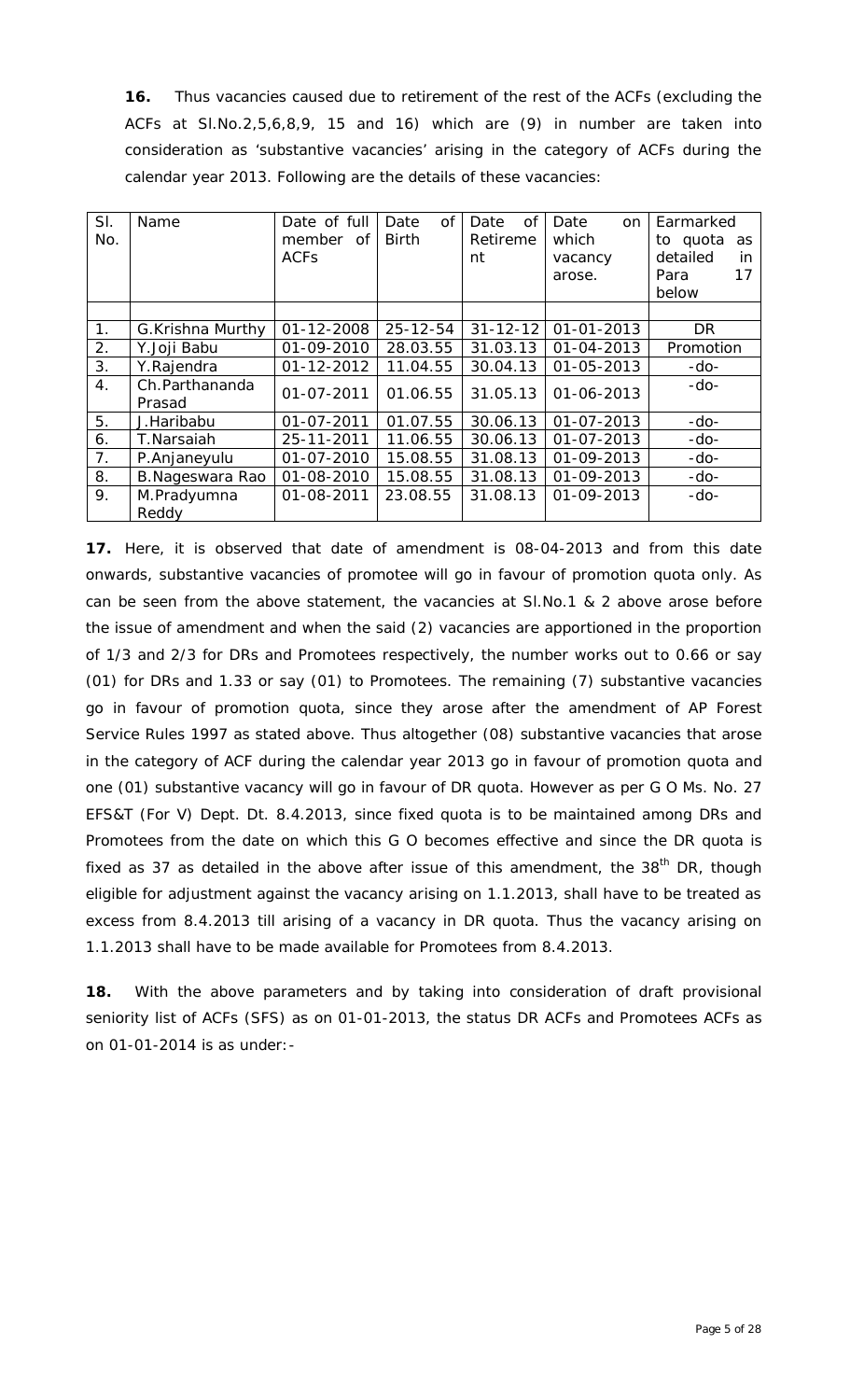**16.** Thus vacancies caused due to retirement of the rest of the ACFs (excluding the ACFs at Sl.No.2,5,6,8,9, 15 and 16) which are (9) in number are taken into consideration as 'substantive vacancies' arising in the category of ACFs during the calendar year 2013. Following are the details of these vacancies:

| SI. | Name                     | Date of full     | Date<br><b>of</b> | of<br>Date     | Date<br>on       | Earmarked       |
|-----|--------------------------|------------------|-------------------|----------------|------------------|-----------------|
| No. |                          | member of        | Birth             | Retireme       | which            | to quota<br>as  |
|     |                          | <b>ACFS</b>      |                   | nt             | vacancy          | detailed<br>in. |
|     |                          |                  |                   |                | arose.           | Para<br>17      |
|     |                          |                  |                   |                |                  | below           |
|     |                          |                  |                   |                |                  |                 |
| 1.  | G.Krishna Murthy         | $01 - 12 - 2008$ | $25 - 12 - 54$    | $31 - 12 - 12$ | $01 - 01 - 2013$ | <b>DR</b>       |
| 2.  | Y.Joji Babu              | 01-09-2010       | 28.03.55          | 31.03.13       | 01-04-2013       | Promotion       |
| 3.  | Y.Rajendra               | 01-12-2012       | 11.04.55          | 30.04.13       | 01-05-2013       | $-do-$          |
| 4.  | Ch.Parthananda<br>Prasad | $01 - 07 - 2011$ | 01.06.55          | 31.05.13       | $01 - 06 - 2013$ | $-do-$          |
| 5.  | J.Haribabu               | $01 - 07 - 2011$ | 01.07.55          | 30.06.13       | $01 - 07 - 2013$ | $-do-$          |
| 6.  | T.Narsaiah               | 25-11-2011       | 11.06.55          | 30.06.13       | $01 - 07 - 2013$ | $-do-$          |
| 7.  | P.Anjaneyulu             | $01 - 07 - 2010$ | 15.08.55          | 31.08.13       | 01-09-2013       | $-do-$          |
| 8.  | B.Nageswara Rao          | 01-08-2010       | 15.08.55          | 31.08.13       | 01-09-2013       | $-do-$          |
| 9.  | M.Pradyumna              | 01-08-2011       | 23.08.55          | 31.08.13       | 01-09-2013       | $-do-$          |
|     | Reddy                    |                  |                   |                |                  |                 |

**17.** Here, it is observed that date of amendment is 08-04-2013 and from this date onwards, substantive vacancies of promotee will go in favour of promotion quota only. As can be seen from the above statement, the vacancies at Sl.No.1 & 2 above arose before the issue of amendment and when the said (2) vacancies are apportioned in the proportion of 1/3 and 2/3 for DRs and Promotees respectively, the number works out to 0.66 or say (01) for DRs and 1.33 or say (01) to Promotees. The remaining (7) substantive vacancies go in favour of promotion quota, since they arose after the amendment of AP Forest Service Rules 1997 as stated above. Thus altogether (08) substantive vacancies that arose in the category of ACF during the calendar year 2013 go in favour of promotion quota and one (01) substantive vacancy will go in favour of DR quota. However as per G O Ms. No. 27 EFS&T (For V) Dept. Dt. 8.4.2013, since fixed quota is to be maintained among DRs and Promotees from the date on which this G O becomes effective and since the DR quota is fixed as 37 as detailed in the above after issue of this amendment, the  $38<sup>th</sup>$  DR, though eligible for adjustment against the vacancy arising on 1.1.2013, shall have to be treated as excess from 8.4.2013 till arising of a vacancy in DR quota. Thus the vacancy arising on 1.1.2013 shall have to be made available for Promotees from 8.4.2013.

**18.** With the above parameters and by taking into consideration of draft provisional seniority list of ACFs (SFS) as on 01-01-2013, the status DR ACFs and Promotees ACFs as on 01-01-2014 is as under:-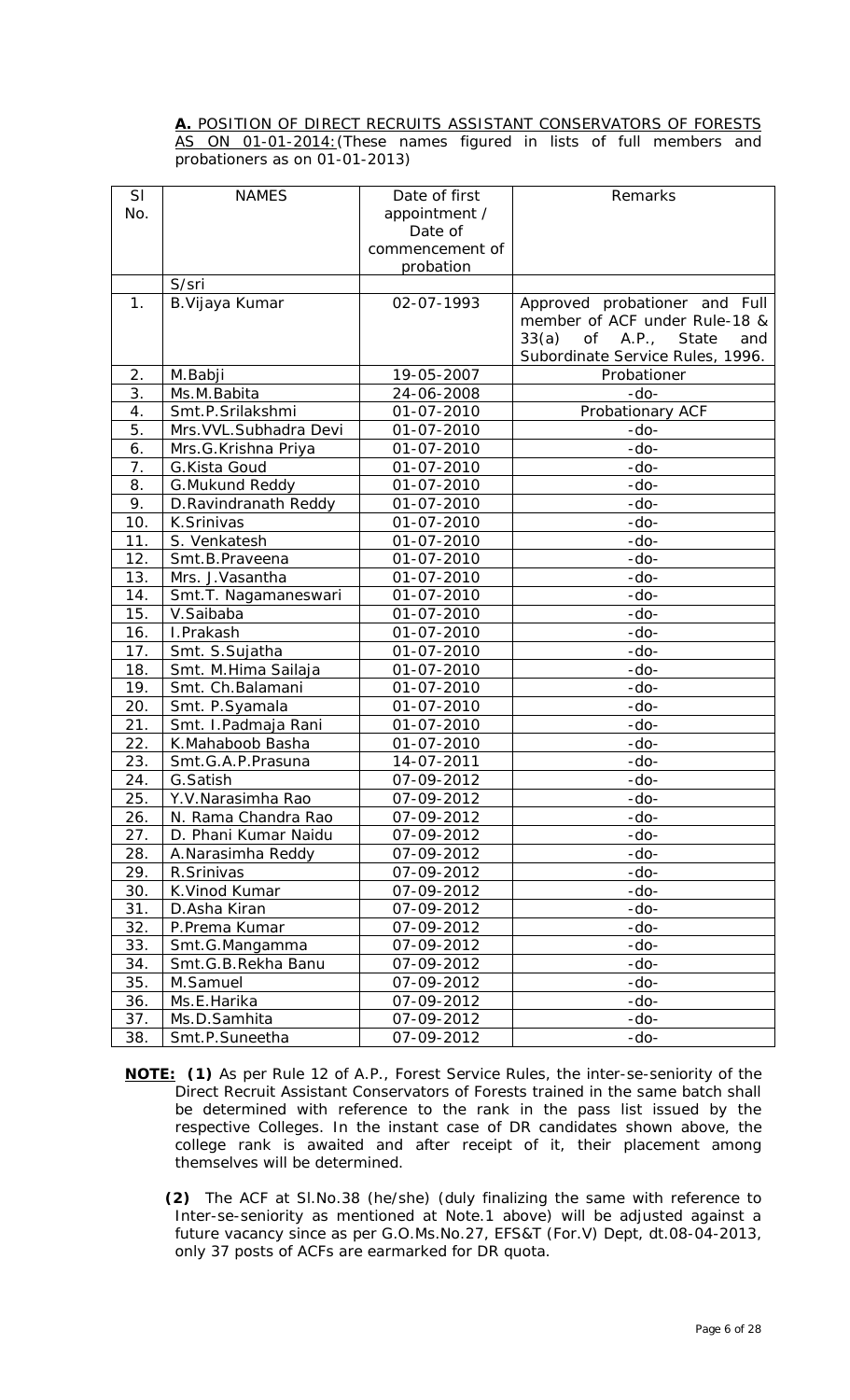#### **A.** POSITION OF DIRECT RECRUITS ASSISTANT CONSERVATORS OF FORESTS AS ON 01-01-2014: (These names figured in lists of full members and probationers as on 01-01-2013)

| SI  | <b>NAMES</b>            | Date of first            | Remarks                                                        |
|-----|-------------------------|--------------------------|----------------------------------------------------------------|
| No. |                         |                          |                                                                |
|     |                         | appointment /<br>Date of |                                                                |
|     |                         | commencement of          |                                                                |
|     |                         |                          |                                                                |
|     | S/sri                   | probation                |                                                                |
| 1.  |                         | 02-07-1993               |                                                                |
|     | B. Vijaya Kumar         |                          | Approved probationer and Full<br>member of ACF under Rule-18 & |
|     |                         |                          | 33(a)<br>of<br>A.P.,<br>State<br>and                           |
|     |                         |                          | Subordinate Service Rules, 1996.                               |
| 2.  | M.Babji                 | 19-05-2007               | Probationer                                                    |
| 3.  | Ms.M.Babita             | 24-06-2008               | $-do-$                                                         |
| 4.  | Smt.P.Srilakshmi        | 01-07-2010               | Probationary ACF                                               |
| 5.  | Mrs. VVL. Subhadra Devi | 01-07-2010               | $-do-$                                                         |
| 6.  | Mrs.G.Krishna Priya     | 01-07-2010               | $-do-$                                                         |
| 7.  | G.Kista Goud            | 01-07-2010               | $-do-$                                                         |
| 8.  | G. Mukund Reddy         | 01-07-2010               | $-do-$                                                         |
| 9.  | D. Ravindranath Reddy   | 01-07-2010               | $-do-$                                                         |
| 10. | K.Srinivas              | 01-07-2010               | $-do-$                                                         |
| 11. | S. Venkatesh            | 01-07-2010               | $-do-$                                                         |
| 12. | Smt.B.Praveena          | 01-07-2010               | $-do-$                                                         |
| 13. | Mrs. J. Vasantha        | 01-07-2010               | $-do-$                                                         |
| 14. | Smt.T. Nagamaneswari    | 01-07-2010               | $-do-$                                                         |
| 15. | V.Saibaba               | 01-07-2010               | $-do-$                                                         |
| 16. | I.Prakash               | 01-07-2010               | $-do-$                                                         |
| 17. | Smt. S.Sujatha          | 01-07-2010               | $-do-$                                                         |
| 18. | Smt. M.Hima Sailaja     | 01-07-2010               | $-do-$                                                         |
| 19. | Smt. Ch. Balamani       | 01-07-2010               | $-do-$                                                         |
| 20. | Smt. P.Syamala          | 01-07-2010               | $-do-$                                                         |
| 21. | Smt. I.Padmaja Rani     | 01-07-2010               | $-do-$                                                         |
| 22. | K.Mahaboob Basha        | 01-07-2010               | $-do-$                                                         |
| 23. | Smt.G.A.P.Prasuna       | 14-07-2011               | $-do-$                                                         |
| 24. | G.Satish                | 07-09-2012               | $-do-$                                                         |
| 25  | Y.V. Narasimha Rao      | 07-09-2012               | $-dO-$                                                         |
| 26. | N. Rama Chandra Rao     | 07-09-2012               | $-do-$                                                         |
| 27. | D. Phani Kumar Naidu    | 07-09-2012               | $-do-$                                                         |
| 28. | A.Narasimha Reddy       | 07-09-2012               | $-do-$                                                         |
| 29. | R.Srinivas              | 07-09-2012               | $-do-$                                                         |
| 30. | K. Vinod Kumar          | 07-09-2012               | $-do-$                                                         |
| 31. | D.Asha Kiran            | 07-09-2012               | $-do-$                                                         |
| 32. | P.Prema Kumar           | 07-09-2012               | $-do-$                                                         |
| 33. | Smt.G.Mangamma          | 07-09-2012               | $-do-$                                                         |
| 34. | Smt.G.B.Rekha Banu      | 07-09-2012               | $-do-$                                                         |
| 35. | M.Samuel                | 07-09-2012               | $-do-$                                                         |
| 36. | Ms.E.Harika             | 07-09-2012               | $-do-$                                                         |
| 37. | Ms.D.Samhita            | 07-09-2012               | $-do-$                                                         |
| 38. | Smt.P.Suneetha          | 07-09-2012               | $-do-$                                                         |

- **NOTE: (1)** As per Rule 12 of A.P., Forest Service Rules, the inter-se-seniority of the Direct Recruit Assistant Conservators of Forests trained in the same batch shall be determined with reference to the rank in the pass list issued by the respective Colleges. In the instant case of DR candidates shown above, the college rank is awaited and after receipt of it, their placement among themselves will be determined.
	- **(2)** The ACF at Sl.No.38 (he/she) (duly finalizing the same with reference to Inter-se-seniority as mentioned at Note.1 above) will be adjusted against a future vacancy since as per G.O.Ms.No.27, EFS&T (For.V) Dept, dt.08-04-2013, only 37 posts of ACFs are earmarked for DR quota.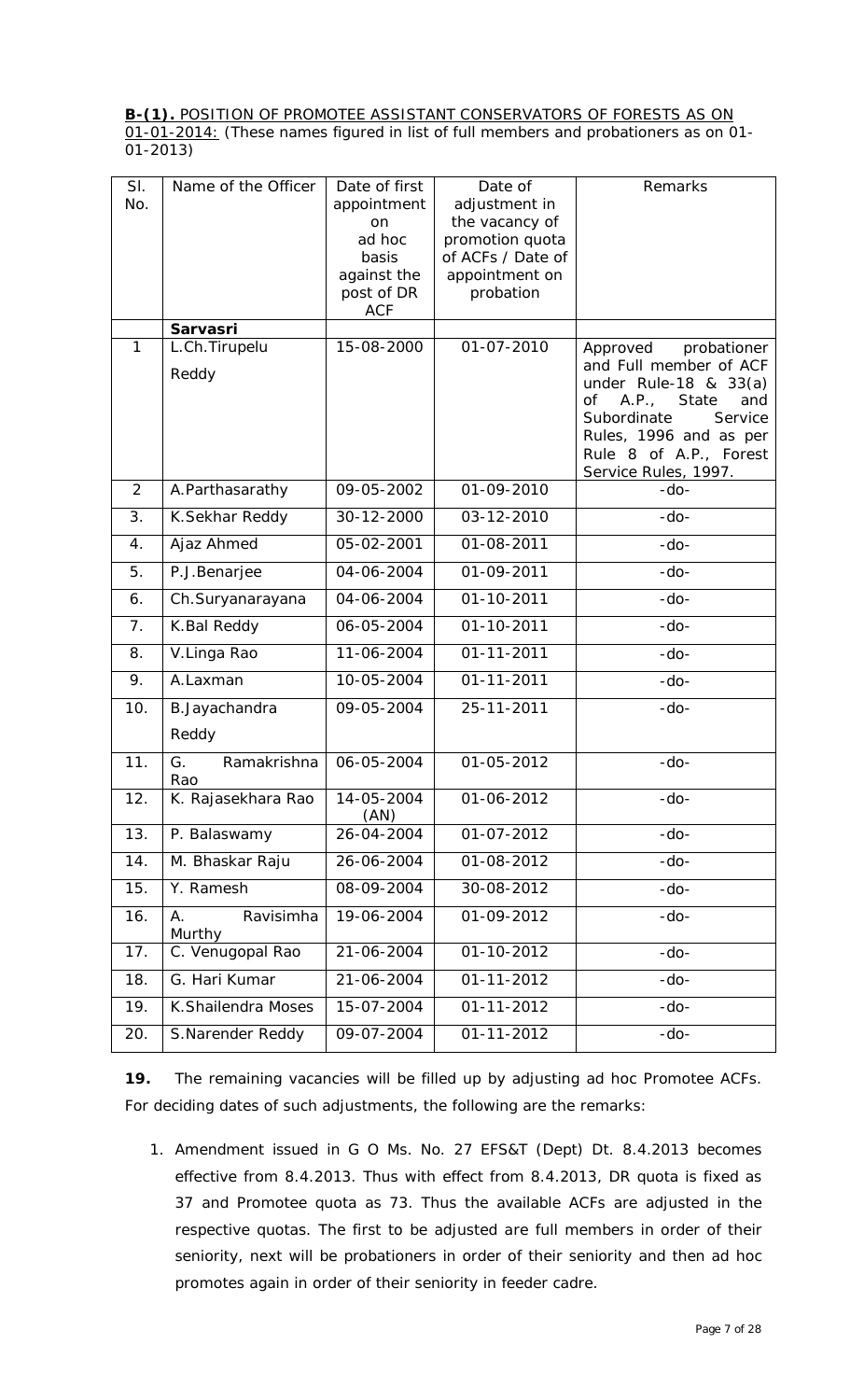**B-(1).** POSITION OF PROMOTEE ASSISTANT CONSERVATORS OF FORESTS AS ON 01-01-2014: (These names figured in list of full members and probationers as on 01- 01-2013)

| SI.<br>No.     | Name of the Officer       | Date of first<br>appointment<br>on.<br>ad hoc<br>basis<br>against the<br>post of DR<br><b>ACF</b> | Date of<br>adjustment in<br>the vacancy of<br>promotion quota<br>of ACFs / Date of<br>appointment on<br>probation | Remarks                                                                                                                                                                                                     |
|----------------|---------------------------|---------------------------------------------------------------------------------------------------|-------------------------------------------------------------------------------------------------------------------|-------------------------------------------------------------------------------------------------------------------------------------------------------------------------------------------------------------|
|                | <b>Sarvasri</b>           |                                                                                                   |                                                                                                                   |                                                                                                                                                                                                             |
| 1              | L.Ch.Tirupelu<br>Reddy    | 15-08-2000                                                                                        | $01 - 07 - 2010$                                                                                                  | probationer<br>Approved<br>and Full member of ACF<br>under Rule-18 & $33(a)$<br>of A.P., State<br>and<br>Subordinate<br>Service<br>Rules, 1996 and as per<br>Rule 8 of A.P., Forest<br>Service Rules, 1997. |
| 2              | A.Parthasarathy           | 09-05-2002                                                                                        | 01-09-2010                                                                                                        | $-do-$                                                                                                                                                                                                      |
| 3.             | K.Sekhar Reddy            | 30-12-2000                                                                                        | 03-12-2010                                                                                                        | $-do-$                                                                                                                                                                                                      |
| 4.             | Ajaz Ahmed                | 05-02-2001                                                                                        | 01-08-2011                                                                                                        | $-do-$                                                                                                                                                                                                      |
| 5.             | P.J.Benarjee              | 04-06-2004                                                                                        | 01-09-2011                                                                                                        | $-do-$                                                                                                                                                                                                      |
| 6.             | Ch.Suryanarayana          | 04-06-2004                                                                                        | 01-10-2011                                                                                                        | $-do-$                                                                                                                                                                                                      |
| 7 <sub>1</sub> | K.Bal Reddy               | 06-05-2004                                                                                        | $01 - 10 - 2011$                                                                                                  | $-do-$                                                                                                                                                                                                      |
| 8.             | V.Linga Rao               | 11-06-2004                                                                                        | 01-11-2011                                                                                                        | $-do-$                                                                                                                                                                                                      |
| 9.             | A.Laxman                  | 10-05-2004                                                                                        | $01 - 11 - 2011$                                                                                                  | $-do-$                                                                                                                                                                                                      |
| 10.            | B. Jayachandra<br>Reddy   | 09-05-2004                                                                                        | 25-11-2011                                                                                                        | $-do-$                                                                                                                                                                                                      |
| 11.            | Ramakrishna<br>G.<br>Rao  | 06-05-2004                                                                                        | 01-05-2012                                                                                                        | $-do-$                                                                                                                                                                                                      |
| 12.            | K. Rajasekhara Rao        | 14-05-2004<br>(AN)                                                                                | 01-06-2012                                                                                                        | $-do-$                                                                                                                                                                                                      |
| 13.            | P. Balaswamy              | 26-04-2004                                                                                        | 01-07-2012                                                                                                        | $-do-$                                                                                                                                                                                                      |
| 14.            | M. Bhaskar Raju           | 26-06-2004                                                                                        | 01-08-2012                                                                                                        | $-do-$                                                                                                                                                                                                      |
| 15.            | Y. Ramesh                 | 08-09-2004                                                                                        | 30-08-2012                                                                                                        | $-do-$                                                                                                                                                                                                      |
| 16.            | Ravisimha<br>А.<br>Murthy | 19-06-2004                                                                                        | 01-09-2012                                                                                                        | $-do-$                                                                                                                                                                                                      |
| 17.            | C. Venugopal Rao          | 21-06-2004                                                                                        | 01-10-2012                                                                                                        | $-do-$                                                                                                                                                                                                      |
| 18.            | G. Hari Kumar             | 21-06-2004                                                                                        | 01-11-2012                                                                                                        | $-do-$                                                                                                                                                                                                      |
| 19.            | K.Shailendra Moses        | 15-07-2004                                                                                        | 01-11-2012                                                                                                        | $-do-$                                                                                                                                                                                                      |
| 20.            | S.Narender Reddy          | 09-07-2004                                                                                        | 01-11-2012                                                                                                        | $-do-$                                                                                                                                                                                                      |

**19.** The remaining vacancies will be filled up by adjusting *ad hoc* Promotee ACFs. For deciding dates of such adjustments, the following are the remarks:

*1. Amendment issued in G O Ms. No. 27 EFS&T (Dept) Dt. 8.4.2013 becomes effective from 8.4.2013. Thus with effect from 8.4.2013, DR quota is fixed as 37 and Promotee quota as 73. Thus the available ACFs are adjusted in the respective quotas. The first to be adjusted are full members in order of their seniority, next will be probationers in order of their seniority and then ad hoc promotes again in order of their seniority in feeder cadre.*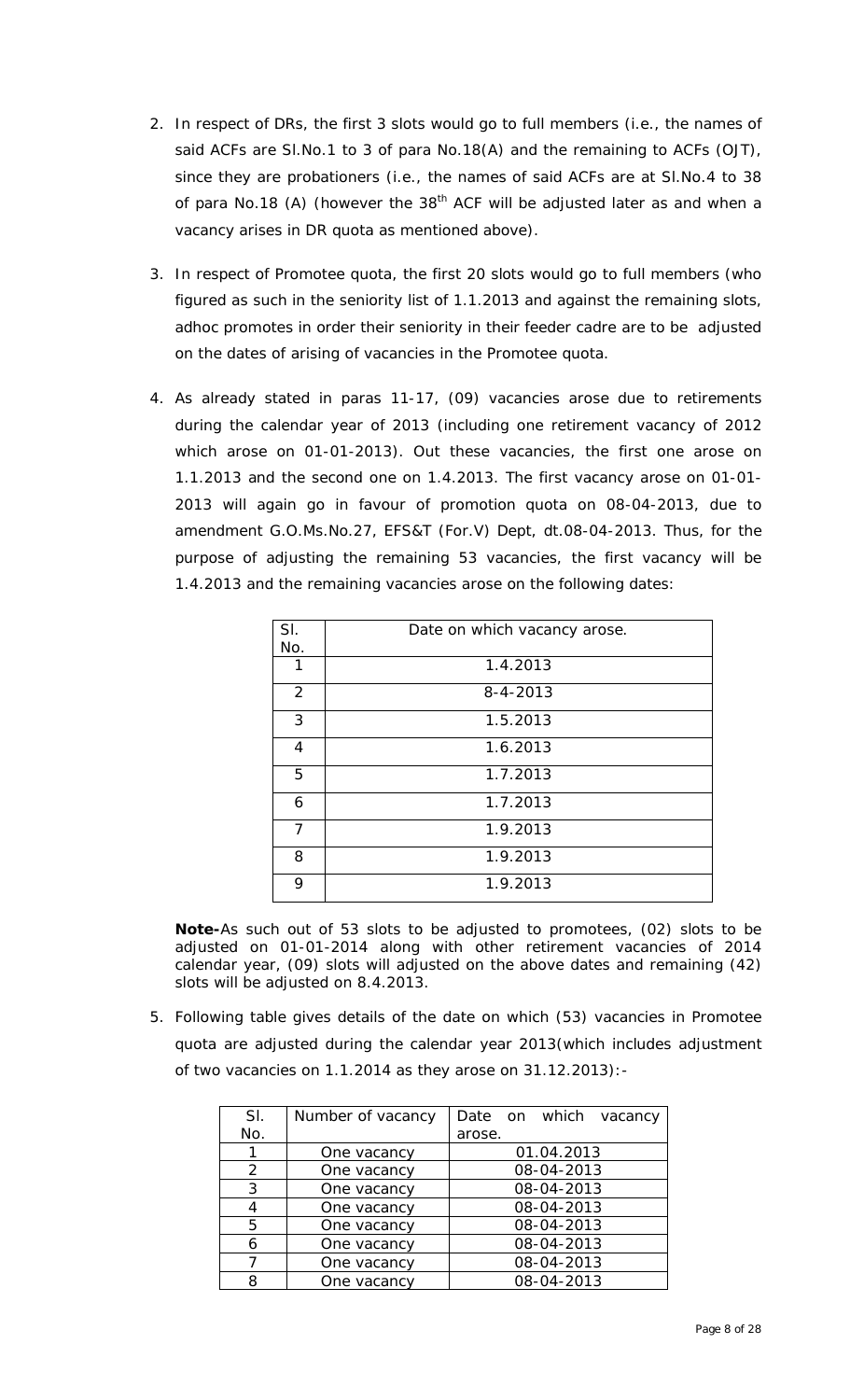- *2. In respect of DRs, the first 3 slots would go to full members (i.e., the names of said ACFs are Sl.No.1 to 3 of para No.18(A) and the remaining to ACFs (OJT), since they are probationers (i.e., the names of said ACFs are at Sl.No.4 to 38 of para No.18 (A) (however the 38th ACF will be adjusted later as and when a vacancy arises in DR quota as mentioned above).*
- *3. In respect of Promotee quota, the first 20 slots would go to full members (who figured as such in the seniority list of 1.1.2013 and against the remaining slots, adhoc promotes in order their seniority in their feeder cadre are to be adjusted on the dates of arising of vacancies in the Promotee quota.*
- *4. As already stated in paras 11-17, (09) vacancies arose due to retirements during the calendar year of 2013 (including one retirement vacancy of 2012 which arose on 01-01-2013). Out these vacancies, the first one arose on 1.1.2013 and the second one on 1.4.2013. The first vacancy arose on 01-01- 2013 will again go in favour of promotion quota on 08-04-2013, due to amendment G.O.Ms.No.27, EFS&T (For.V) Dept, dt.08-04-2013. Thus, for the purpose of adjusting the remaining 53 vacancies, the first vacancy will be 1.4.2013 and the remaining vacancies arose on the following dates:*

| SI.<br>No.     | Date on which vacancy arose. |
|----------------|------------------------------|
| 1              | 1.4.2013                     |
| $\overline{2}$ | $8 - 4 - 2013$               |
| 3              | 1.5.2013                     |
| 4              | 1.6.2013                     |
| 5              | 1.7.2013                     |
| 6              | 1.7.2013                     |
| 7              | 1.9.2013                     |
| 8              | 1.9.2013                     |
| 9              | 1.9.2013                     |

*Note-As such out of 53 slots to be adjusted to promotees, (02) slots to be adjusted on 01-01-2014 along with other retirement vacancies of 2014 calendar year, (09) slots will adjusted on the above dates and remaining (42) slots will be adjusted on 8.4.2013.* 

*5. Following table gives details of the date on which (53) vacancies in Promotee quota are adjusted during the calendar year 2013(which includes adjustment of two vacancies on 1.1.2014 as they arose on 31.12.2013):-*

| SI.           | Number of vacancy | Date on which vacancy |  |  |  |  |
|---------------|-------------------|-----------------------|--|--|--|--|
| No.           |                   | arose.                |  |  |  |  |
|               | One vacancy       | 01.04.2013            |  |  |  |  |
| $\mathcal{P}$ | One vacancy       | 08-04-2013            |  |  |  |  |
| 3             | One vacancy       | 08-04-2013            |  |  |  |  |
|               | One vacancy       | 08-04-2013            |  |  |  |  |
| 5             | One vacancy       | 08-04-2013            |  |  |  |  |
| 6             | One vacancy       | 08-04-2013            |  |  |  |  |
|               | One vacancy       | 08-04-2013            |  |  |  |  |
| 8             | One vacancy       | 08-04-2013            |  |  |  |  |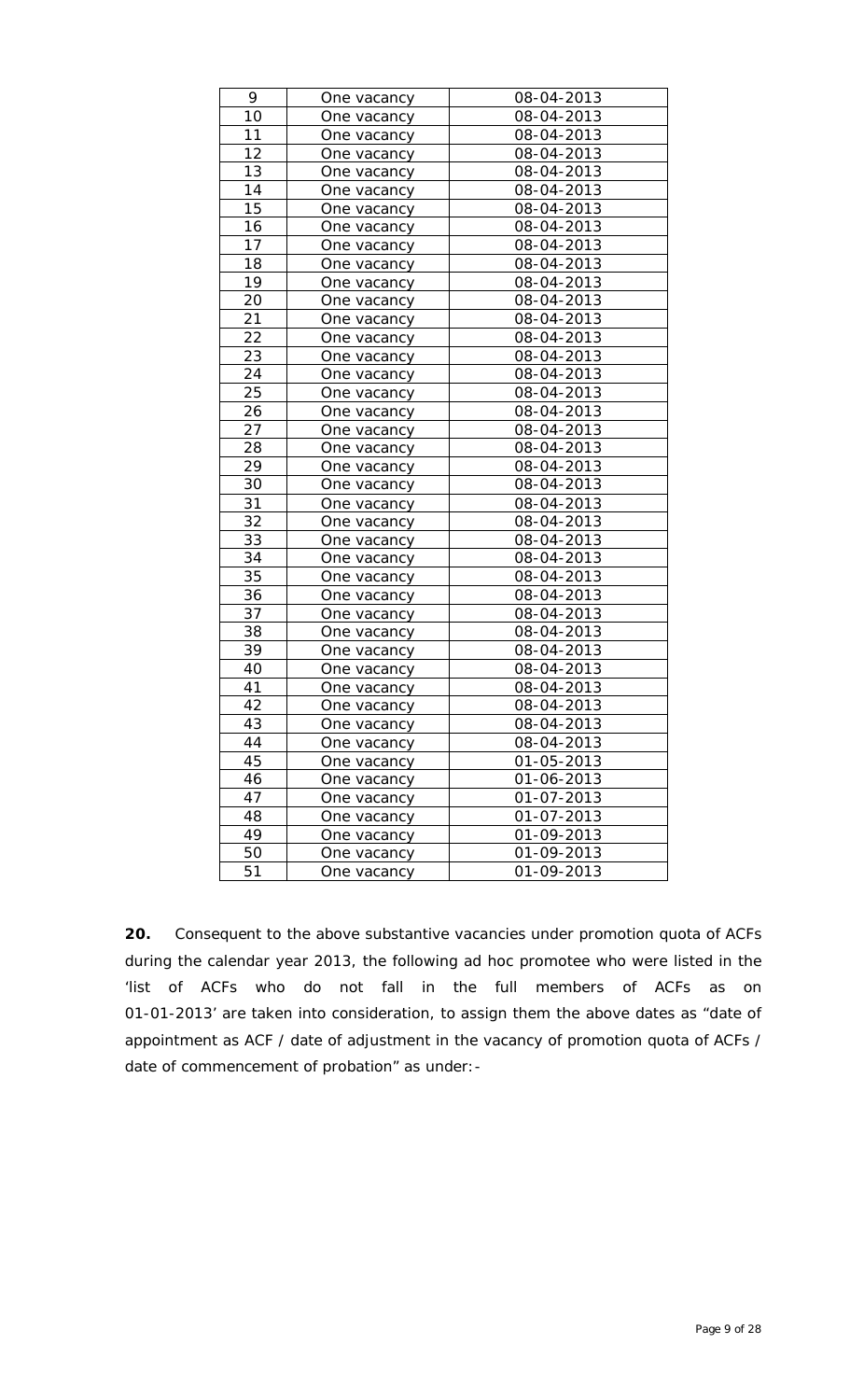| 9  | One vacancy | 08-04-2013 |
|----|-------------|------------|
| 10 | One vacancy | 08-04-2013 |
| 11 | One vacancy | 08-04-2013 |
| 12 | One vacancy | 08-04-2013 |
| 13 | One vacancy | 08-04-2013 |
| 14 | One vacancy | 08-04-2013 |
| 15 | One vacancy | 08-04-2013 |
| 16 | One vacancy | 08-04-2013 |
| 17 | One vacancy | 08-04-2013 |
| 18 | One vacancy | 08-04-2013 |
| 19 | One vacancy | 08-04-2013 |
| 20 | One vacancy | 08-04-2013 |
| 21 | One vacancy | 08-04-2013 |
| 22 | One vacancy | 08-04-2013 |
| 23 | One vacancy | 08-04-2013 |
| 24 | One vacancy | 08-04-2013 |
| 25 | One vacancy | 08-04-2013 |
| 26 | One vacancy | 08-04-2013 |
| 27 | One vacancy | 08-04-2013 |
| 28 | One vacancy | 08-04-2013 |
| 29 | One vacancy | 08-04-2013 |
| 30 | One vacancy | 08-04-2013 |
| 31 | One vacancy | 08-04-2013 |
| 32 | One vacancy | 08-04-2013 |
| 33 | One vacancy | 08-04-2013 |
| 34 | One vacancy | 08-04-2013 |
| 35 | One vacancy | 08-04-2013 |
| 36 | One vacancy | 08-04-2013 |
| 37 | One vacancy | 08-04-2013 |
| 38 | One vacancy | 08-04-2013 |
| 39 | One vacancy | 08-04-2013 |
| 40 | One vacancy | 08-04-2013 |
| 41 | One vacancy | 08-04-2013 |
| 42 | One vacancv | 08-04-2013 |
| 43 | One vacancy | 08-04-2013 |
| 44 | One vacancy | 08-04-2013 |
| 45 | One vacancy | 01-05-2013 |
| 46 | One vacancy | 01-06-2013 |
| 47 | One vacancy | 01-07-2013 |
| 48 | One vacancy | 01-07-2013 |
| 49 | One vacancy | 01-09-2013 |
| 50 | One vacancy | 01-09-2013 |
| 51 | One vacancy | 01-09-2013 |
|    |             |            |

**20.** Consequent to the above substantive vacancies under promotion quota of ACFs during the calendar year 2013, the following *ad hoc* promotee who were listed in the 'list of ACFs who do not fall in the full members of ACFs as on 01-01-2013' are taken into consideration, to assign them the above dates as "date of appointment as ACF / date of adjustment in the vacancy of promotion quota of ACFs / date of commencement of probation" as under:-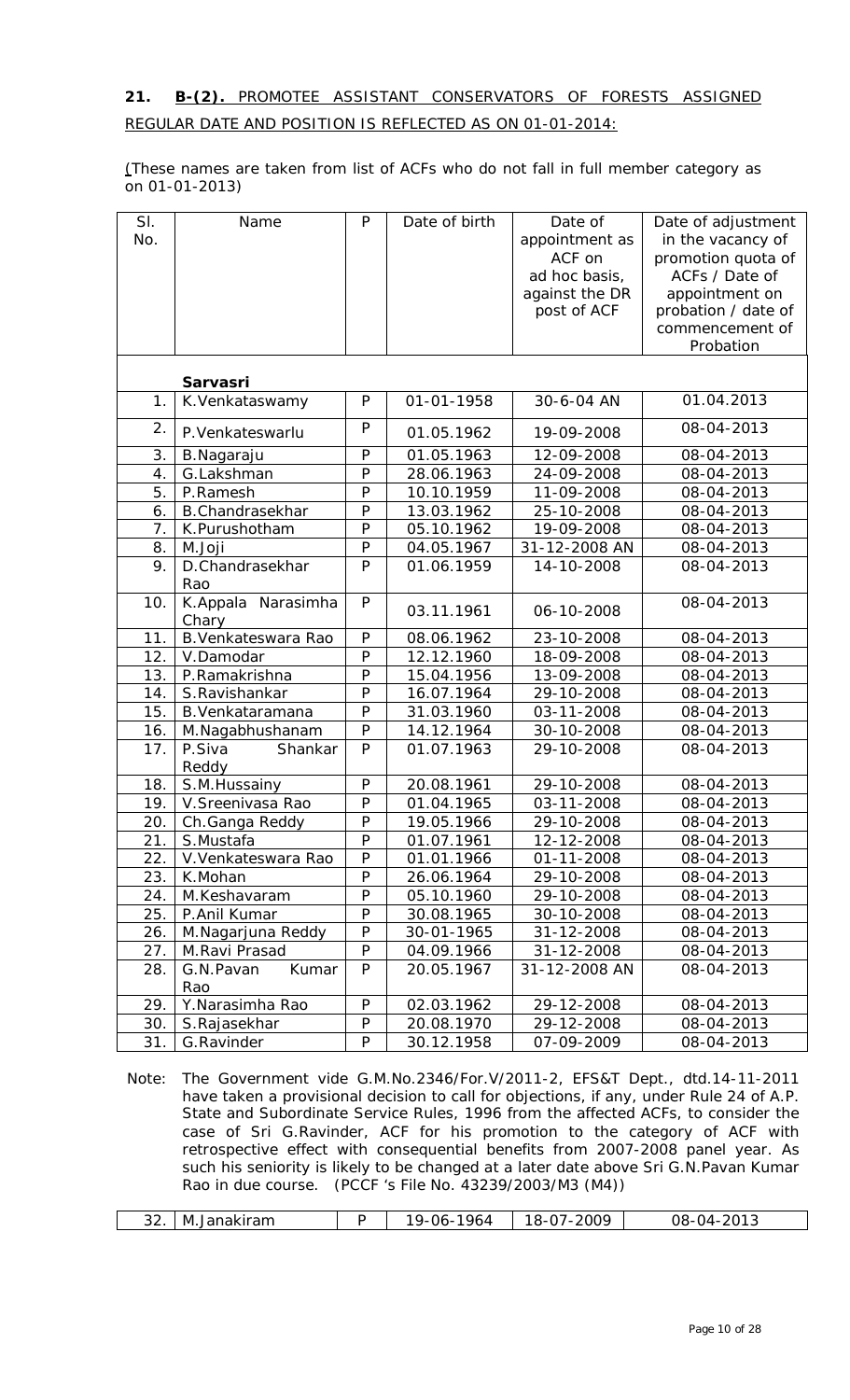# **21. B-(2).** PROMOTEE ASSISTANT CONSERVATORS OF FORESTS ASSIGNED REGULAR DATE AND POSITION IS REFLECTED AS ON 01-01-2014:

(These names are taken from list of ACFs who do not fall in full member category as on 01-01-2013)

| SI.<br>No. | Name                        | $\mathsf{P}$   | Date of birth | Date of<br>appointment as<br>ACF on | Date of adjustment<br>in the vacancy of<br>promotion quota of |
|------------|-----------------------------|----------------|---------------|-------------------------------------|---------------------------------------------------------------|
|            |                             |                |               | ad hoc basis,                       | ACFs / Date of                                                |
|            |                             |                |               | against the DR                      | appointment on                                                |
|            |                             |                |               | post of ACF                         | probation / date of                                           |
|            |                             |                |               |                                     | commencement of                                               |
|            |                             |                |               |                                     | Probation                                                     |
|            | <b>Sarvasri</b>             |                |               |                                     |                                                               |
| 1.         | K.Venkataswamy              | ${\sf P}$      | 01-01-1958    | 30-6-04 AN                          | 01.04.2013                                                    |
| 2.         | P.Venkateswarlu             | P              | 01.05.1962    | 19-09-2008                          | 08-04-2013                                                    |
| 3.         | B.Nagaraju                  | P              | 01.05.1963    | 12-09-2008                          | 08-04-2013                                                    |
| 4.         | G.Lakshman                  | P              | 28.06.1963    | 24-09-2008                          | 08-04-2013                                                    |
| 5.         | P.Ramesh                    | P              | 10.10.1959    | 11-09-2008                          | 08-04-2013                                                    |
| 6.         | <b>B.Chandrasekhar</b>      | $\mathsf{P}$   | 13.03.1962    | 25-10-2008                          | 08-04-2013                                                    |
| 7.         | K.Purushotham               | P              | 05.10.1962    | 19-09-2008                          | 08-04-2013                                                    |
| 8.         | M.Joji                      | $\overline{P}$ | 04.05.1967    | 31-12-2008 AN                       | 08-04-2013                                                    |
| 9.         | D.Chandrasekhar<br>Rao      | P              | 01.06.1959    | 14-10-2008                          | 08-04-2013                                                    |
| 10.        | K.Appala Narasimha<br>Chary | P              | 03.11.1961    | 06-10-2008                          | 08-04-2013                                                    |
| 11.        | B. Venkateswara Rao         | P              | 08.06.1962    | 23-10-2008                          | 08-04-2013                                                    |
| 12.        | V.Damodar                   | P              | 12.12.1960    | 18-09-2008                          | 08-04-2013                                                    |
| 13.        | P.Ramakrishna               | P              | 15.04.1956    | 13-09-2008                          | 08-04-2013                                                    |
| 14.        | S.Ravishankar               | $\mathsf{P}$   | 16.07.1964    | 29-10-2008                          | 08-04-2013                                                    |
| 15.        | B. Venkataramana            | P              | 31.03.1960    | 03-11-2008                          | 08-04-2013                                                    |
| 16.        | M.Nagabhushanam             | P              | 14.12.1964    | 30-10-2008                          | 08-04-2013                                                    |
| 17.        | P.Siva<br>Shankar<br>Reddy  | P              | 01.07.1963    | 29-10-2008                          | 08-04-2013                                                    |
| 18.        | S.M. Hussainy               | ${\sf P}$      | 20.08.1961    | 29-10-2008                          | 08-04-2013                                                    |
| 19.        | V. Sreenivasa Rao           | ${\sf P}$      | 01.04.1965    | 03-11-2008                          | 08-04-2013                                                    |
| 20.        | Ch.Ganga Reddy              | P              | 19.05.1966    | 29-10-2008                          | 08-04-2013                                                    |
| 21.        | S.Mustafa                   | P              | 01.07.1961    | 12-12-2008                          | 08-04-2013                                                    |
| 22.        | V. Venkateswara Rao         | P              | 01.01.1966    | 01-11-2008                          | 08-04-2013                                                    |
| 23.        | K.Mohan                     | ${\sf P}$      | 26.06.1964    | 29-10-2008                          | 08-04-2013                                                    |
| 24.        | M.Keshavaram                | P              | 05.10.1960    | 29-10-2008                          | 08-04-2013                                                    |
| 25.        | P.Anil Kumar                | P              | 30.08.1965    | 30-10-2008                          | 08-04-2013                                                    |
| 26.        | M.Nagarjuna Reddy           | ${\sf P}$      | 30-01-1965    | 31-12-2008                          | 08-04-2013                                                    |
| 27.        | M.Ravi Prasad               | P              | 04.09.1966    | 31-12-2008                          | 08-04-2013                                                    |
| 28.        | Kumar<br>G.N.Pavan          | P              | 20.05.1967    | 31-12-2008 AN                       | 08-04-2013                                                    |
|            | Rao                         |                |               |                                     |                                                               |
| 29.        | Y.Narasimha Rao             | P              | 02.03.1962    | 29-12-2008                          | 08-04-2013                                                    |
| 30.        | S.Rajasekhar                | P              | 20.08.1970    | 29-12-2008                          | 08-04-2013                                                    |
| 31.        | G.Ravinder                  | P              | 30.12.1958    | 07-09-2009                          | 08-04-2013                                                    |

Note: The Government vide G.M.No.2346/For.V/2011-2, EFS&T Dept., dtd.14-11-2011 have taken a provisional decision to call for objections, if any, under Rule 24 of A.P. State and Subordinate Service Rules, 1996 from the affected ACFs, to consider the case of Sri G.Ravinder, ACF for his promotion to the category of ACF with retrospective effect with consequential benefits from 2007-2008 panel year. As such his seniority is likely to be changed at a later date above Sri G.N.Pavan Kumar Rao in due course. (PCCF 's File No. 43239/2003/M3 (M4))

| 2009<br>$\bigcap$<br>ົ<br>או<br>Janakiram<br>$\Lambda$<br>M<br>ی∙<br>. .<br>∍∠<br>n<br>. ے ب<br>ິ |
|---------------------------------------------------------------------------------------------------|
|---------------------------------------------------------------------------------------------------|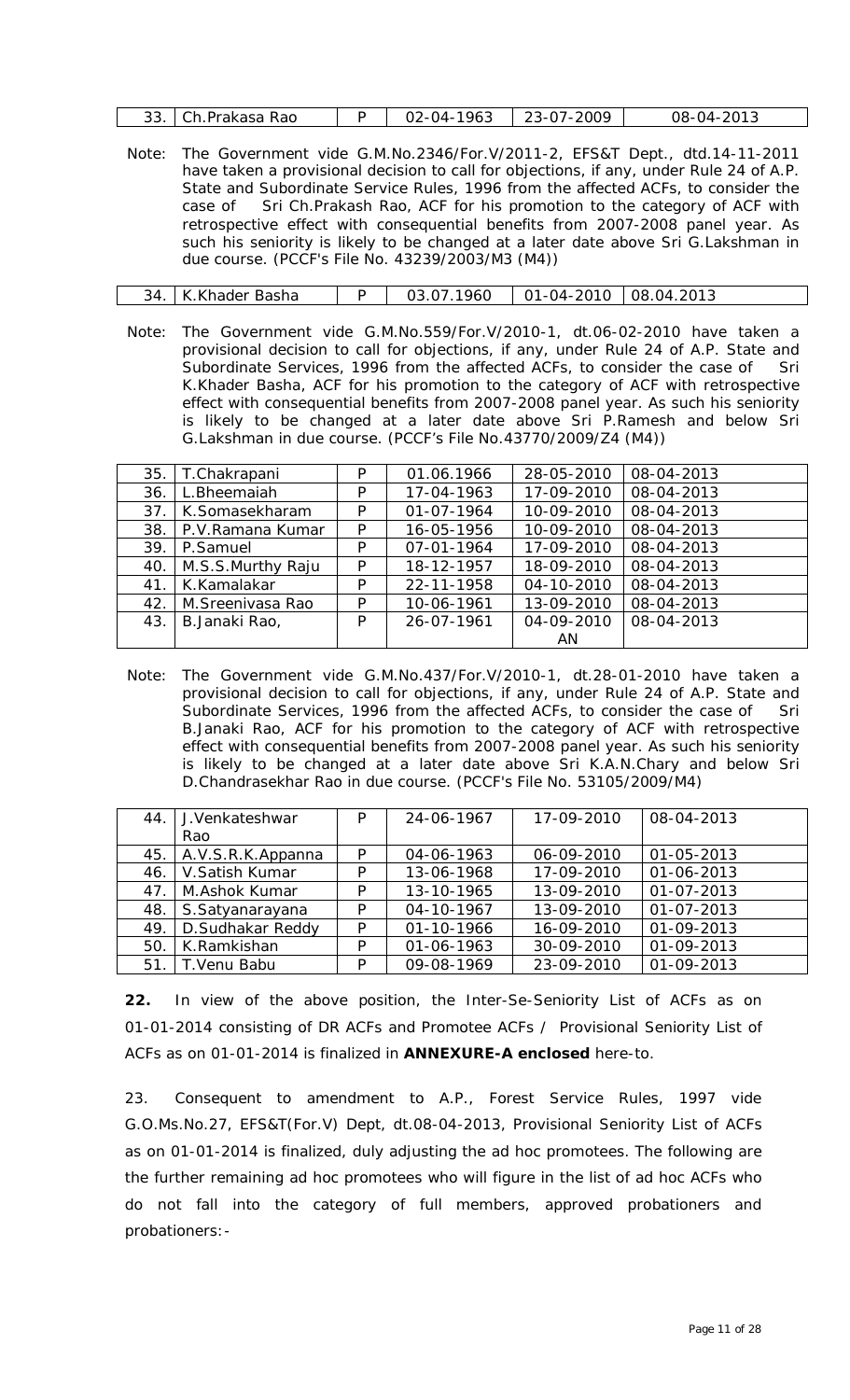|  | 33. Ch. Prakasa Rao |  | -1963<br>$02 - 04 - 7$ | 23-07-2009 | 08-04-2013 |
|--|---------------------|--|------------------------|------------|------------|
|--|---------------------|--|------------------------|------------|------------|

Note: The Government vide G.M.No.2346/For.V/2011-2, EFS&T Dept., dtd.14-11-2011 have taken a provisional decision to call for objections, if any, under Rule 24 of A.P. State and Subordinate Service Rules, 1996 from the affected ACFs, to consider the case of Sri Ch.Prakash Rao, ACF for his promotion to the category of ACF with retrospective effect with consequential benefits from 2007-2008 panel year. As such his seniority is likely to be changed at a later date above Sri G.Lakshman in due course. (PCCF's File No. 43239/2003/M3 (M4))

| 34.   K.Khader Basha |  | 03.07.1960 | 01-04-2010   08.04.2013 |  |
|----------------------|--|------------|-------------------------|--|
|----------------------|--|------------|-------------------------|--|

Note: The Government vide G.M.No.559/For.V/2010-1, dt.06-02-2010 have taken a provisional decision to call for objections, if any, under Rule 24 of A.P. State and Subordinate Services, 1996 from the affected ACFs, to consider the case of Sri K.Khader Basha, ACF for his promotion to the category of ACF with retrospective effect with consequential benefits from 2007-2008 panel year. As such his seniority is likely to be changed at a later date above Sri P.Ramesh and below Sri G.Lakshman in due course. (PCCF's File No.43770/2009/Z4 (M4))

|     |                   |   |                  | 28-05-2010 |            |
|-----|-------------------|---|------------------|------------|------------|
| 35. | T.Chakrapani      | P | 01.06.1966       |            | 08-04-2013 |
| 36. | L.Bheemaiah       | P | 17-04-1963       | 17-09-2010 | 08-04-2013 |
| 37. | K.Somasekharam    | P | 01-07-1964       | 10-09-2010 | 08-04-2013 |
| 38. | P.V.Ramana Kumar  | P | 16-05-1956       | 10-09-2010 | 08-04-2013 |
| 39. | P.Samuel          | P | $07 - 01 - 1964$ | 17-09-2010 | 08-04-2013 |
| 40. | M.S.S.Murthy Raju | P | 18-12-1957       | 18-09-2010 | 08-04-2013 |
| 41. | K.Kamalakar       | P | 22-11-1958       | 04-10-2010 | 08-04-2013 |
| 42. | M.Sreenivasa Rao  | P | 10-06-1961       | 13-09-2010 | 08-04-2013 |
| 43. | B.Janaki Rao,     | P | 26-07-1961       | 04-09-2010 | 08-04-2013 |
|     |                   |   |                  | AN         |            |

Note: The Government vide G.M.No.437/For.V/2010-1, dt.28-01-2010 have taken a provisional decision to call for objections, if any, under Rule 24 of A.P. State and Subordinate Services, 1996 from the affected ACFs, to consider the case of Sri B.Janaki Rao, ACF for his promotion to the category of ACF with retrospective effect with consequential benefits from 2007-2008 panel year. As such his seniority is likely to be changed at a later date above Sri K.A.N.Chary and below Sri D.Chandrasekhar Rao in due course. (PCCF's File No. 53105/2009/M4)

| 44. | J.Venkateshwar    | P | 24-06-1967 | 17-09-2010 | 08-04-2013       |
|-----|-------------------|---|------------|------------|------------------|
|     | Rao               |   |            |            |                  |
| 45. | A.V.S.R.K.Appanna | P | 04-06-1963 | 06-09-2010 | $01 - 05 - 2013$ |
| 46. | V.Satish Kumar    | P | 13-06-1968 | 17-09-2010 | 01-06-2013       |
| 47. | M.Ashok Kumar     | P | 13-10-1965 | 13-09-2010 | $01 - 07 - 2013$ |
| 48. | S.Satyanarayana   | P | 04-10-1967 | 13-09-2010 | $01 - 07 - 2013$ |
| 49. | D.Sudhakar Reddy  | P | 01-10-1966 | 16-09-2010 | 01-09-2013       |
| 50. | K.Ramkishan       | P | 01-06-1963 | 30-09-2010 | 01-09-2013       |
| 51. | T. Venu Babu      | P | 09-08-1969 | 23-09-2010 | 01-09-2013       |

**22.** In view of the above position, the Inter-Se-Seniority List of ACFs as on 01-01-2014 consisting of DR ACFs and Promotee ACFs / Provisional Seniority List of ACFs as on 01-01-2014 is finalized in **ANNEXURE-A enclosed** here-to.

23. Consequent to amendment to A.P., Forest Service Rules, 1997 vide G.O.Ms.No.27, EFS&T(For.V) Dept, dt.08-04-2013, Provisional Seniority List of ACFs as on 01-01-2014 is finalized, duly adjusting the *ad hoc* promotees. The following are the further remaining *ad hoc promotees* who will figure in the list of *ad hoc* ACFs who do not fall into the category of full members, approved probationers and probationers:-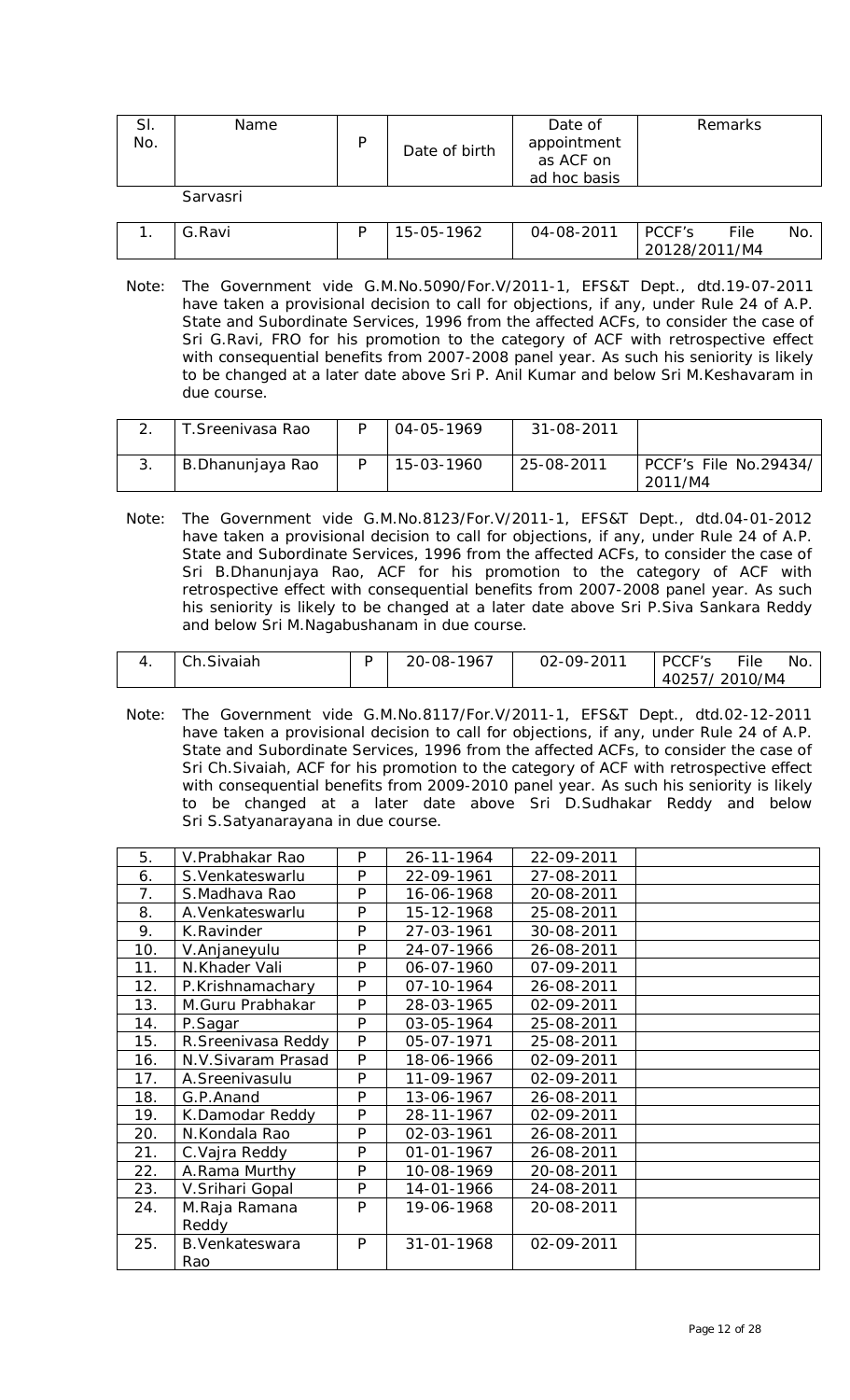| SI.<br>No. | Name     | Date of birth | Date of<br>appointment<br>as ACF on<br>ad hoc basis | Remarks |
|------------|----------|---------------|-----------------------------------------------------|---------|
|            | Sarvasri |               |                                                     |         |

| .Ravi | 1962<br>าร - า<br>5-l | 04-08-2011 | PCCF's        | File | No. |
|-------|-----------------------|------------|---------------|------|-----|
|       |                       |            | 20128/2011/M4 |      |     |

Note: The Government vide G.M.No.5090/For.V/2011-1, EFS&T Dept., dtd.19-07-2011 have taken a provisional decision to call for objections, if any, under Rule 24 of A.P. State and Subordinate Services, 1996 from the affected ACFs, to consider the case of Sri G.Ravi, FRO for his promotion to the category of ACF with retrospective effect with consequential benefits from 2007-2008 panel year. As such his seniority is likely to be changed at a later date above Sri P. Anil Kumar and below Sri M.Keshavaram in due course.

| T. Sreenivasa Rao | 04-05-1969 | 31-08-2011 |                                  |
|-------------------|------------|------------|----------------------------------|
| B.Dhanunjaya Rao  | 15-03-1960 | 25-08-2011 | PCCF's File No.29434/<br>2011/M4 |

Note: The Government vide G.M.No.8123/For.V/2011-1, EFS&T Dept., dtd.04-01-2012 have taken a provisional decision to call for objections, if any, under Rule 24 of A.P. State and Subordinate Services, 1996 from the affected ACFs, to consider the case of Sri B.Dhanunjaya Rao, ACF for his promotion to the category of ACF with retrospective effect with consequential benefits from 2007-2008 panel year. As such his seniority is likely to be changed at a later date above Sri P.Siva Sankara Reddy and below Sri M.Nagabushanam in due course.

| Ch.Sivaiah | 20-08-1967 | 02-09-2011 | PCCF's        | File | No. |
|------------|------------|------------|---------------|------|-----|
|            |            |            | 40257/2010/M4 |      |     |

Note: The Government vide G.M.No.8117/For.V/2011-1, EFS&T Dept., dtd.02-12-2011 have taken a provisional decision to call for objections, if any, under Rule 24 of A.P. State and Subordinate Services, 1996 from the affected ACFs, to consider the case of Sri Ch.Sivaiah, ACF for his promotion to the category of ACF with retrospective effect with consequential benefits from 2009-2010 panel year. As such his seniority is likely to be changed at a later date above Sri D.Sudhakar Reddy and below Sri S.Satyanarayana in due course.

| 5.  | V.Prabhakar Rao     | P | 26-11-1964       | 22-09-2011 |  |
|-----|---------------------|---|------------------|------------|--|
| 6.  | S. Venkateswarlu    | P | 22-09-1961       | 27-08-2011 |  |
| 7.  | S.Madhava Rao       | P | 16-06-1968       | 20-08-2011 |  |
| 8.  | A. Venkateswarlu    | P | 15-12-1968       | 25-08-2011 |  |
| 9.  | K.Ravinder          | P | 27-03-1961       | 30-08-2011 |  |
| 10. | V.Anjaneyulu        | P | 24-07-1966       | 26-08-2011 |  |
| 11. | N.Khader Vali       | P | 06-07-1960       | 07-09-2011 |  |
| 12. | P.Krishnamachary    | P | 07-10-1964       | 26-08-2011 |  |
| 13. | M.Guru Prabhakar    | P | 28-03-1965       | 02-09-2011 |  |
| 14. | P.Sagar             | P | 03-05-1964       | 25-08-2011 |  |
| 15. | R. Sreenivasa Reddy | P | 05-07-1971       | 25-08-2011 |  |
| 16. | N.V.Sivaram Prasad  | P | 18-06-1966       | 02-09-2011 |  |
| 17. | A.Sreenivasulu      | P | 11-09-1967       | 02-09-2011 |  |
| 18. | G.P.Anand           | P | 13-06-1967       | 26-08-2011 |  |
| 19. | K.Damodar Reddy     | P | 28-11-1967       | 02-09-2011 |  |
| 20. | N.Kondala Rao       | P | 02-03-1961       | 26-08-2011 |  |
| 21. | C. Vajra Reddy      | P | $01 - 01 - 1967$ | 26-08-2011 |  |
| 22. | A.Rama Murthy       | P | 10-08-1969       | 20-08-2011 |  |
| 23. | V.Srihari Gopal     | P | 14-01-1966       | 24-08-2011 |  |
| 24. | M.Raja Ramana       | P | 19-06-1968       | 20-08-2011 |  |
|     | Reddy               |   |                  |            |  |
| 25. | B. Venkateswara     | P | 31-01-1968       | 02-09-2011 |  |
|     | Rao                 |   |                  |            |  |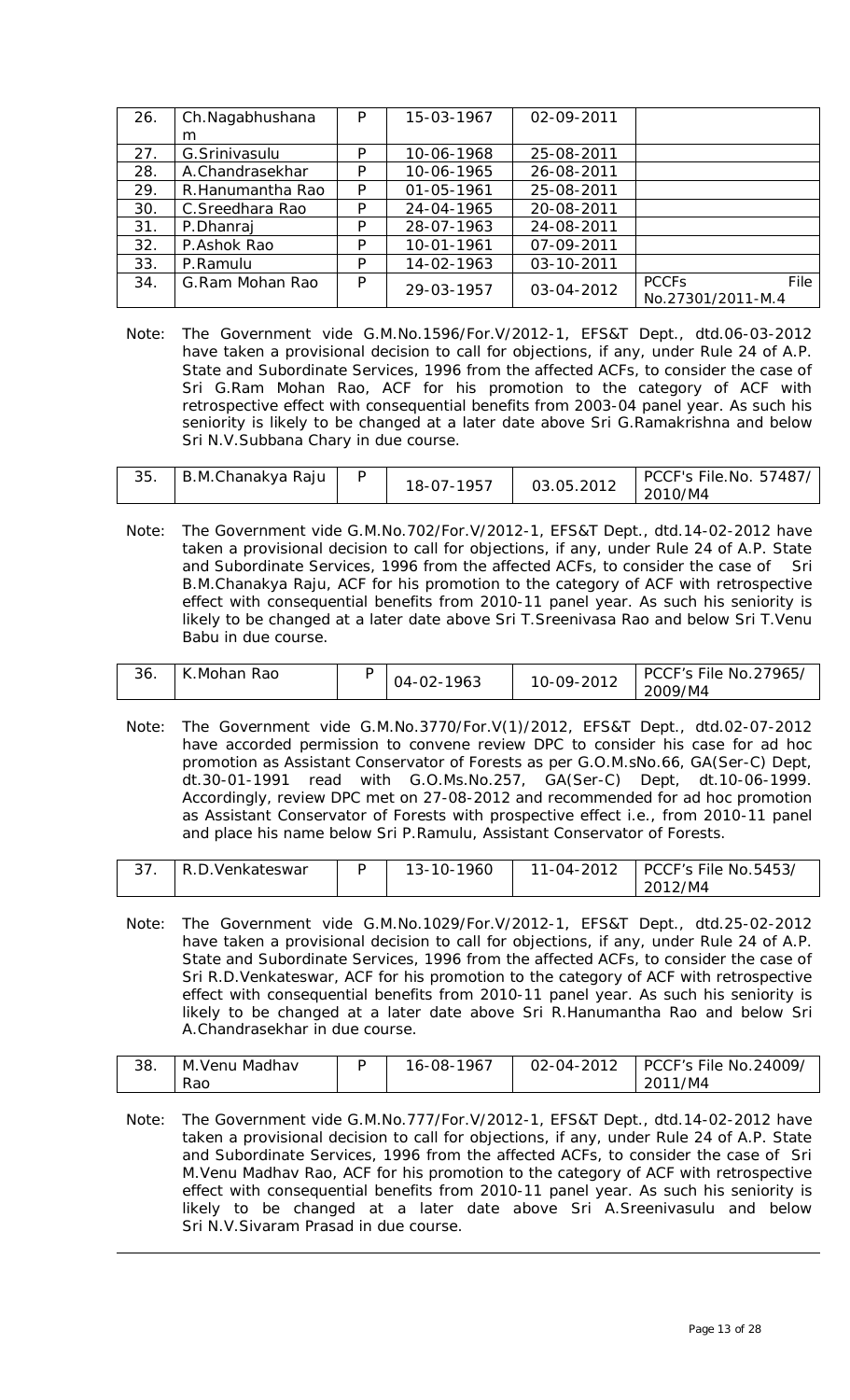| 26. | Ch.Nagabhushana   | P | 15-03-1967 | 02-09-2011 |                                                      |
|-----|-------------------|---|------------|------------|------------------------------------------------------|
|     | m                 |   |            |            |                                                      |
| 27. | G. Srinivasulu    | P | 10-06-1968 | 25-08-2011 |                                                      |
| 28. | A.Chandrasekhar   | P | 10-06-1965 | 26-08-2011 |                                                      |
| 29. | R. Hanumantha Rao | P | 01-05-1961 | 25-08-2011 |                                                      |
| 30. | C.Sreedhara Rao   | P | 24-04-1965 | 20-08-2011 |                                                      |
| 31. | P.Dhanraj         | P | 28-07-1963 | 24-08-2011 |                                                      |
| 32. | P.Ashok Rao       | P | 10-01-1961 | 07-09-2011 |                                                      |
| 33. | P.Ramulu          | P | 14-02-1963 | 03-10-2011 |                                                      |
| 34. | G.Ram Mohan Rao   | P | 29-03-1957 | 03-04-2012 | File<br><b>PCCF<sub>S</sub></b><br>No.27301/2011-M.4 |

Note: The Government vide G.M.No.1596/For.V/2012-1, EFS&T Dept., dtd.06-03-2012 have taken a provisional decision to call for objections, if any, under Rule 24 of A.P. State and Subordinate Services, 1996 from the affected ACFs, to consider the case of Sri G.Ram Mohan Rao, ACF for his promotion to the category of ACF with retrospective effect with consequential benefits from 2003-04 panel year. As such his seniority is likely to be changed at a later date above Sri G.Ramakrishna and below Sri N.V.Subbana Chary in due course.

| 35. | B.M.Chanakya Raju |  | 18-07-1957 | 03.05.2012 | PCCF's File.No. 57487/<br>2010/M4 |
|-----|-------------------|--|------------|------------|-----------------------------------|
|-----|-------------------|--|------------|------------|-----------------------------------|

Note: The Government vide G.M.No.702/For.V/2012-1, EFS&T Dept., dtd.14-02-2012 have taken a provisional decision to call for objections, if any, under Rule 24 of A.P. State and Subordinate Services, 1996 from the affected ACFs, to consider the case of Sri B.M.Chanakya Raju, ACF for his promotion to the category of ACF with retrospective effect with consequential benefits from 2010-11 panel year. As such his seniority is likely to be changed at a later date above Sri T.Sreenivasa Rao and below Sri T.Venu Babu in due course.

| 36. | Rao<br>Mohan | - | 1963<br>04-۱ | ിവ വ<br>ገዓ-<br>U-U<br>∠∪∵<br>$\sim$ | 27965,<br>No.2<br>PCL<br>汁's File<br>/M4<br>2009 |
|-----|--------------|---|--------------|-------------------------------------|--------------------------------------------------|
|-----|--------------|---|--------------|-------------------------------------|--------------------------------------------------|

Note: The Government vide G.M.No.3770/For.V(1)/2012, EFS&T Dept., dtd.02-07-2012 have accorded permission to convene review DPC to consider his case for ad hoc promotion as Assistant Conservator of Forests as per G.O.M.sNo.66, GA(Ser-C) Dept, dt.30-01-1991 read with G.O.Ms.No.257, GA(Ser-C) Dept, dt.10-06-1999. Accordingly, review DPC met on 27-08-2012 and recommended for ad hoc promotion as Assistant Conservator of Forests with prospective effect i.e., from 2010-11 panel and place his name below Sri P.Ramulu, Assistant Conservator of Forests.

| $\sim$ $\sim$ | R.D.<br>.Venkateswar | $3 - 10 - 1960$ | 11-04-2012 | PCCF's File No.5453/ |
|---------------|----------------------|-----------------|------------|----------------------|
|               |                      |                 |            | 2012/M4              |

Note: The Government vide G.M.No.1029/For.V/2012-1, EFS&T Dept., dtd.25-02-2012 have taken a provisional decision to call for objections, if any, under Rule 24 of A.P. State and Subordinate Services, 1996 from the affected ACFs, to consider the case of Sri R.D.Venkateswar, ACF for his promotion to the category of ACF with retrospective effect with consequential benefits from 2010-11 panel year. As such his seniority is likely to be changed at a later date above Sri R.Hanumantha Rao and below Sri A.Chandrasekhar in due course.

| 38. | M.Venu Madhav | 1967.<br>೧೩-<br>$O - ($ | 02-04-2012 | <b>PCCF's File No.24009/</b> |
|-----|---------------|-------------------------|------------|------------------------------|
|     | Rac           |                         |            | /M4                          |

Note: The Government vide G.M.No.777/For.V/2012-1, EFS&T Dept., dtd.14-02-2012 have taken a provisional decision to call for objections, if any, under Rule 24 of A.P. State and Subordinate Services, 1996 from the affected ACFs, to consider the case of Sri M.Venu Madhav Rao, ACF for his promotion to the category of ACF with retrospective effect with consequential benefits from 2010-11 panel year. As such his seniority is likely to be changed at a later date above Sri A.Sreenivasulu and below Sri N.V.Sivaram Prasad in due course.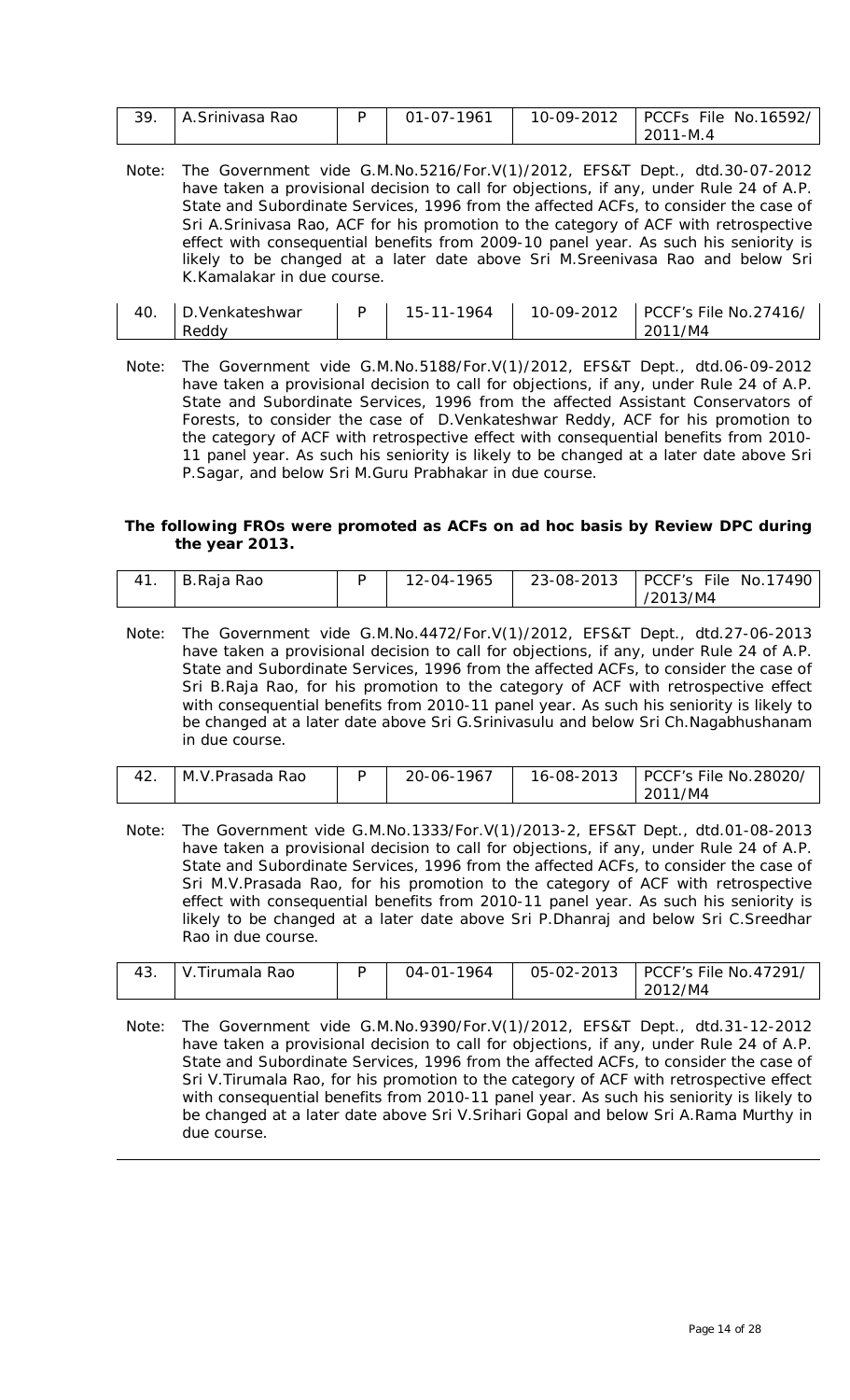| A.Srinivasa Rao | 01-07-1961 | 10-09-2012   PCCFs File No.16592/ |
|-----------------|------------|-----------------------------------|
|                 |            | 2011-M.4                          |

Note: The Government vide G.M.No.5216/For.V(1)/2012, EFS&T Dept., dtd.30-07-2012 have taken a provisional decision to call for objections, if any, under Rule 24 of A.P. State and Subordinate Services, 1996 from the affected ACFs, to consider the case of Sri A.Srinivasa Rao, ACF for his promotion to the category of ACF with retrospective effect with consequential benefits from 2009-10 panel year. As such his seniority is likely to be changed at a later date above Sri M.Sreenivasa Rao and below Sri K.Kamalakar in due course.

| 40. | . Venkateshwar | 15-11-1964 | 10-09-2012 | PCCF's File No.27416/ |
|-----|----------------|------------|------------|-----------------------|
|     | Reddy          |            |            | 2011/M4               |

Note: The Government vide G.M.No.5188/For.V(1)/2012, EFS&T Dept., dtd.06-09-2012 have taken a provisional decision to call for objections, if any, under Rule 24 of A.P. State and Subordinate Services, 1996 from the affected Assistant Conservators of Forests, to consider the case of D.Venkateshwar Reddy, ACF for his promotion to the category of ACF with retrospective effect with consequential benefits from 2010- 11 panel year. As such his seniority is likely to be changed at a later date above Sri P.Sagar, and below Sri M.Guru Prabhakar in due course.

#### **The following FROs were promoted as ACFs on** *ad hoc* **basis by Review DPC during the year 2013.**

| 41 | B.Raja Rao | 12-04-1965 | 23-08-2013 | PCCF's File No.17490 |
|----|------------|------------|------------|----------------------|
|    |            |            |            | /2013/M4             |

Note: The Government vide G.M.No.4472/For.V(1)/2012, EFS&T Dept., dtd.27-06-2013 have taken a provisional decision to call for objections, if any, under Rule 24 of A.P. State and Subordinate Services, 1996 from the affected ACFs, to consider the case of Sri B.Raja Rao, for his promotion to the category of ACF with retrospective effect with consequential benefits from 2010-11 panel year. As such his seniority is likely to be changed at a later date above Sri G.Srinivasulu and below Sri Ch.Nagabhushanam in due course.

| M.V.Prasada Rao | $-1967$<br>20-06- | 16-08-2013 | PCCF's File No.28020/ |
|-----------------|-------------------|------------|-----------------------|
|                 |                   |            | /M4<br>2011           |

Note: The Government vide G.M.No.1333/For.V(1)/2013-2, EFS&T Dept., dtd.01-08-2013 have taken a provisional decision to call for objections, if any, under Rule 24 of A.P. State and Subordinate Services, 1996 from the affected ACFs, to consider the case of Sri M.V.Prasada Rao, for his promotion to the category of ACF with retrospective effect with consequential benefits from 2010-11 panel year. As such his seniority is likely to be changed at a later date above Sri P.Dhanraj and below Sri C.Sreedhar Rao in due course.

| 43. | Tirumala Rao<br>$\mathbf{v}$ | 1964<br>ገ4-በ1- | 05-02-2013 | PCCF's File No.47291 |
|-----|------------------------------|----------------|------------|----------------------|
|     |                              |                |            | 2012/M4              |

Note: The Government vide G.M.No.9390/For.V(1)/2012, EFS&T Dept., dtd.31-12-2012 have taken a provisional decision to call for objections, if any, under Rule 24 of A.P. State and Subordinate Services, 1996 from the affected ACFs, to consider the case of Sri V.Tirumala Rao, for his promotion to the category of ACF with retrospective effect with consequential benefits from 2010-11 panel year. As such his seniority is likely to be changed at a later date above Sri V.Srihari Gopal and below Sri A.Rama Murthy in due course.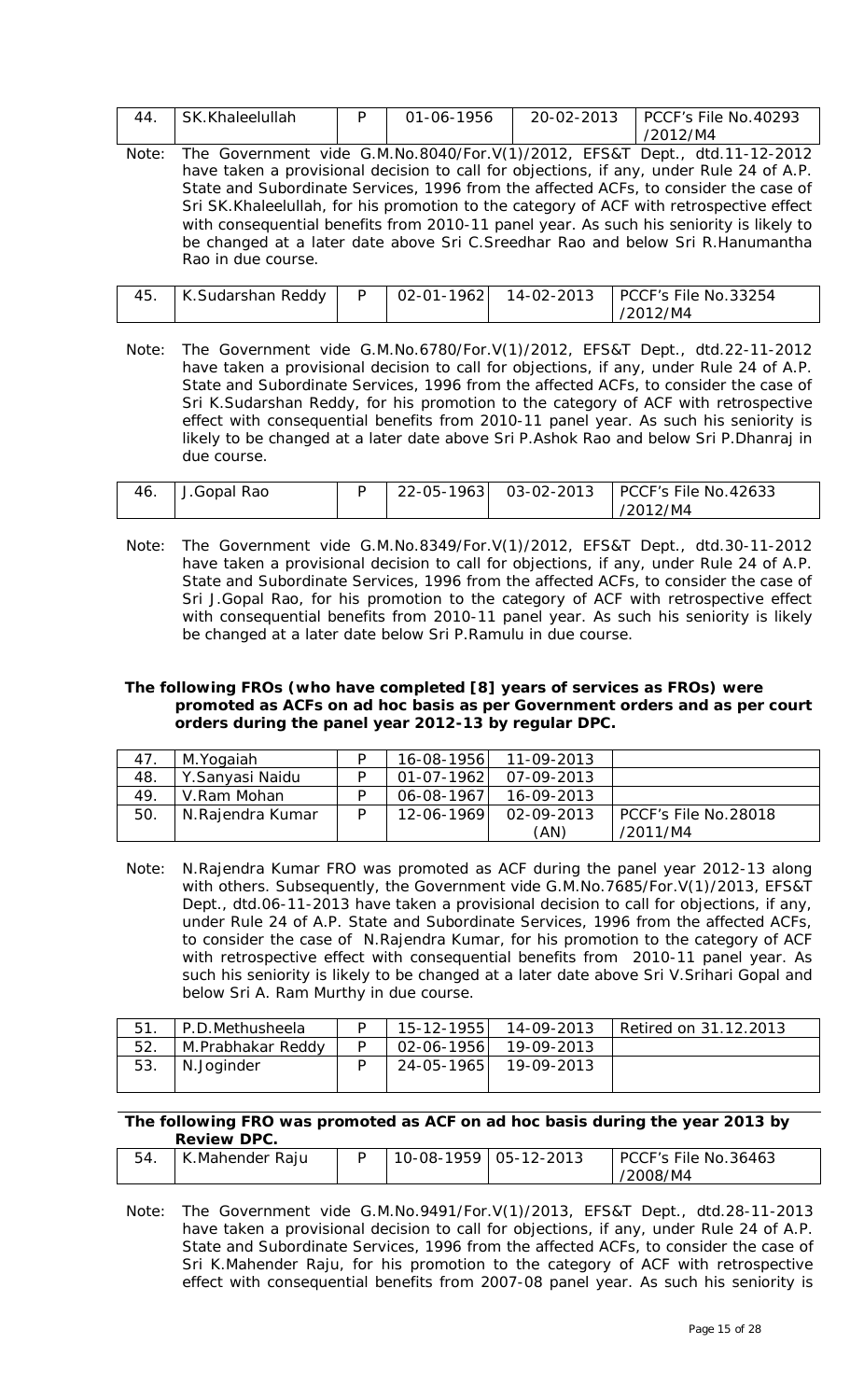| 44. | SK.Khaleelullah |  | 01-06-1956 | 20-02-2013 | PCCF's File No.40293<br>/2012/M4 |  |
|-----|-----------------|--|------------|------------|----------------------------------|--|
|-----|-----------------|--|------------|------------|----------------------------------|--|

| Note: The Government vide G.M.No.8040/For.V(1)/2012, EFS&T Dept., dtd.11-12-2012         |
|------------------------------------------------------------------------------------------|
| have taken a provisional decision to call for objections, if any, under Rule 24 of A.P.  |
| State and Subordinate Services, 1996 from the affected ACFs, to consider the case of     |
| Sri SK. Khaleelullah, for his promotion to the category of ACF with retrospective effect |
| with consequential benefits from 2010-11 panel year. As such his seniority is likely to  |
| be changed at a later date above Sri C. Sreedhar Rao and below Sri R. Hanumantha         |
| Rao in due course.                                                                       |

| K.Sudarshan Reddy |  |          |
|-------------------|--|----------|
|                   |  | /2012/M4 |

Note: The Government vide G.M.No.6780/For.V(1)/2012, EFS&T Dept., dtd.22-11-2012 have taken a provisional decision to call for objections, if any, under Rule 24 of A.P. State and Subordinate Services, 1996 from the affected ACFs, to consider the case of Sri K.Sudarshan Reddy, for his promotion to the category of ACF with retrospective effect with consequential benefits from 2010-11 panel year. As such his seniority is likely to be changed at a later date above Sri P.Ashok Rao and below Sri P.Dhanraj in due course.

| 46. | J.Gopal Rao |  | 22-05-1963  03-02-2013  PCCF's File No.42633 |
|-----|-------------|--|----------------------------------------------|
|     |             |  | /2012/M4                                     |

Note: The Government vide G.M.No.8349/For.V(1)/2012, EFS&T Dept., dtd.30-11-2012 have taken a provisional decision to call for objections, if any, under Rule 24 of A.P. State and Subordinate Services, 1996 from the affected ACFs, to consider the case of Sri J.Gopal Rao, for his promotion to the category of ACF with retrospective effect with consequential benefits from 2010-11 panel year. As such his seniority is likely be changed at a later date below Sri P.Ramulu in due course.

#### **The following FROs (who have completed [8] years of services as FROs) were promoted as ACFs on** *ad hoc* **basis as per Government orders and as per court orders during the panel year 2012-13 by regular DPC.**

| 47  | M.Yogaiah        | D | 16-08-1956       | $11 - 09 - 2013$ |                      |
|-----|------------------|---|------------------|------------------|----------------------|
| 48. | Y.Sanyasi Naidu  | D | $01 - 07 - 1962$ | $07 - 09 - 2013$ |                      |
| 49  | V.Ram Mohan      |   | 06-08-1967       | $16 - 09 - 2013$ |                      |
| 50  | N.Rajendra Kumar | D | $12 - 06 - 1969$ | $02 - 09 - 2013$ | PCCF's File No.28018 |
|     |                  |   |                  | (AN)             | /2011/M4             |

Note: N.Rajendra Kumar FRO was promoted as ACF during the panel year 2012-13 along with others. Subsequently, the Government vide G.M.No.7685/For.V(1)/2013, EFS&T Dept., dtd.06-11-2013 have taken a provisional decision to call for objections, if any, under Rule 24 of A.P. State and Subordinate Services, 1996 from the affected ACFs, to consider the case of N.Rajendra Kumar, for his promotion to the category of ACF with retrospective effect with consequential benefits from 2010-11 panel year. As such his seniority is likely to be changed at a later date above Sri V.Srihari Gopal and below Sri A. Ram Murthy in due course.

| 51. | P.D.Methusheela   | 15-12-1955       | 14-09-2013 | Retired on 31.12.2013 |
|-----|-------------------|------------------|------------|-----------------------|
| 52. | M.Prabhakar Reddy | $02 - 06 - 1956$ | 19-09-2013 |                       |
| 53. | N.Joginder        | 24-05-1965       | 19-09-2013 |                       |

#### **The following FRO was promoted as ACF on** *ad hoc basis* **during the year 2013 by Review DPC.**

| .               |  |            |                   |                      |  |  |
|-----------------|--|------------|-------------------|----------------------|--|--|
| K.Mahender Raju |  | 10-08-1959 | $ 05 - 12 - 2013$ | PCCF's File No.36463 |  |  |
|                 |  |            |                   | 2008/M4              |  |  |
|                 |  |            |                   |                      |  |  |

Note: The Government vide G.M.No.9491/For.V(1)/2013, EFS&T Dept., dtd.28-11-2013 have taken a provisional decision to call for objections, if any, under Rule 24 of A.P. State and Subordinate Services, 1996 from the affected ACFs, to consider the case of Sri K.Mahender Raju, for his promotion to the category of ACF with retrospective effect with consequential benefits from 2007-08 panel year. As such his seniority is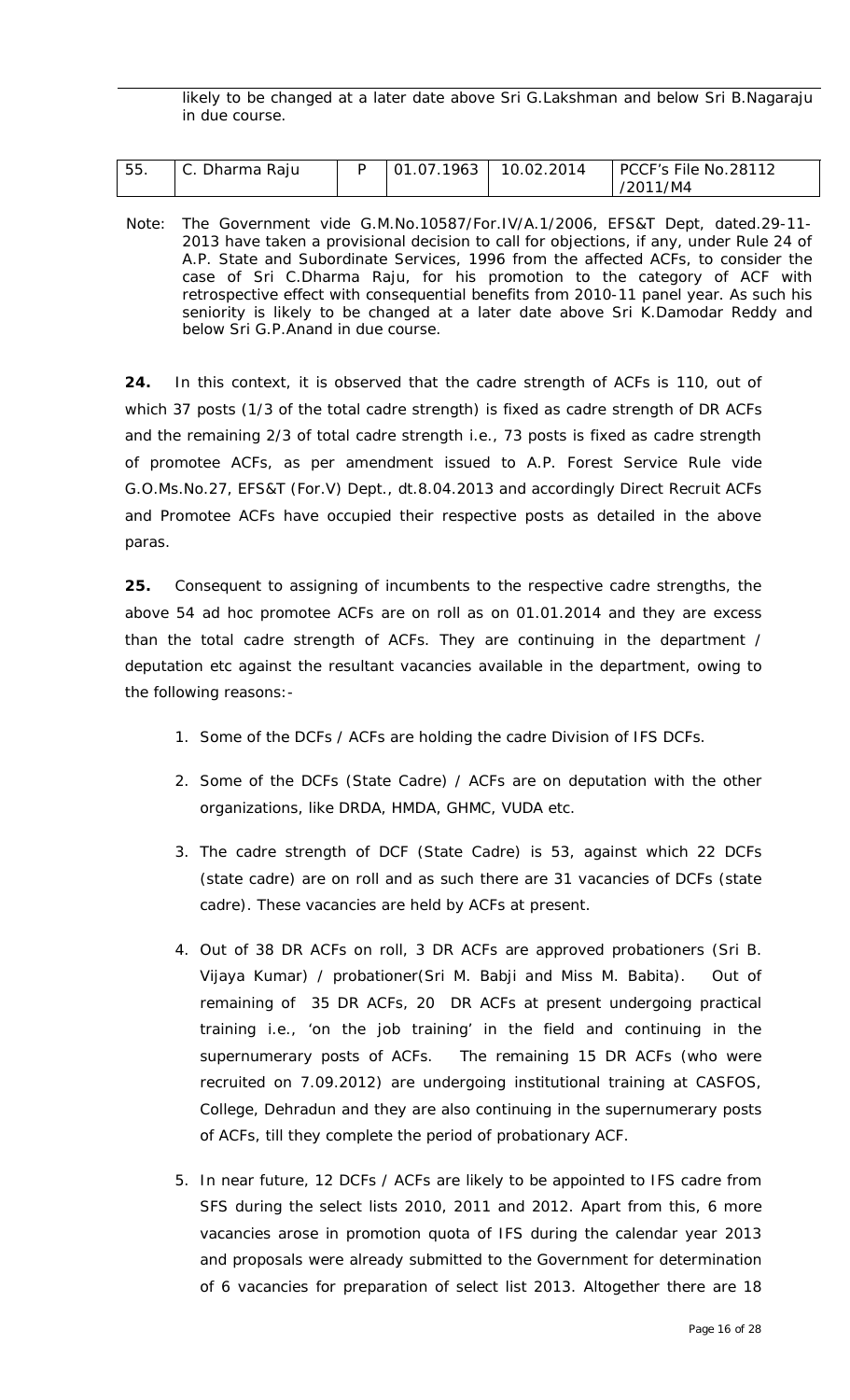likely to be changed at a later date above Sri G.Lakshman and below Sri B.Nagaraju in due course.

| 55. | C. Dharma Raju | 01.07.1963   10.02.2014 | PCCF's File No.28112 |
|-----|----------------|-------------------------|----------------------|
|     |                |                         | /2011/M4             |

Note: The Government vide G.M.No.10587/For.IV/A.1/2006, EFS&T Dept, dated.29-11- 2013 have taken a provisional decision to call for objections, if any, under Rule 24 of A.P. State and Subordinate Services, 1996 from the affected ACFs, to consider the case of Sri C.Dharma Raju, for his promotion to the category of ACF with retrospective effect with consequential benefits from 2010-11 panel year. As such his seniority is likely to be changed at a later date above Sri K.Damodar Reddy and below Sri G.P.Anand in due course.

**24.** In this context, it is observed that the cadre strength of ACFs is 110, out of which 37 posts (1/3 of the total cadre strength) is fixed as cadre strength of DR ACFs and the remaining 2/3 of total cadre strength i.e., 73 posts is fixed as cadre strength of promotee ACFs, as per amendment issued to A.P. Forest Service Rule vide G.O.Ms.No.27, EFS&T (For.V) Dept., dt.8.04.2013 and accordingly Direct Recruit ACFs and Promotee ACFs have occupied their respective posts as detailed in the above paras.

**25.** Consequent to assigning of incumbents to the respective cadre strengths, the above 54 *ad hoc* promotee ACFs are on roll as on 01.01.2014 and they are excess than the total cadre strength of ACFs. They are continuing in the department / deputation etc against the resultant vacancies available in the department, owing to the following reasons:-

- *1. Some of the DCFs / ACFs are holding the cadre Division of IFS DCFs.*
- *2. Some of the DCFs (State Cadre) / ACFs are on deputation with the other organizations, like DRDA, HMDA, GHMC, VUDA etc.*
- *3. The cadre strength of DCF (State Cadre) is 53, against which 22 DCFs (state cadre) are on roll and as such there are 31 vacancies of DCFs (state cadre). These vacancies are held by ACFs at present.*
- *4. Out of 38 DR ACFs on roll, 3 DR ACFs are approved probationers (Sri B. Vijaya Kumar) / probationer(Sri M. Babji and Miss M. Babita). Out of remaining of 35 DR ACFs, 20 DR ACFs at present undergoing practical training i.e., 'on the job training' in the field and continuing in the supernumerary posts of ACFs. The remaining 15 DR ACFs (who were recruited on 7.09.2012) are undergoing institutional training at CASFOS, College, Dehradun and they are also continuing in the supernumerary posts of ACFs, till they complete the period of probationary ACF.*
- *5. In near future, 12 DCFs / ACFs are likely to be appointed to IFS cadre from SFS during the select lists 2010, 2011 and 2012. Apart from this, 6 more vacancies arose in promotion quota of IFS during the calendar year 2013 and proposals were already submitted to the Government for determination of 6 vacancies for preparation of select list 2013. Altogether there are 18*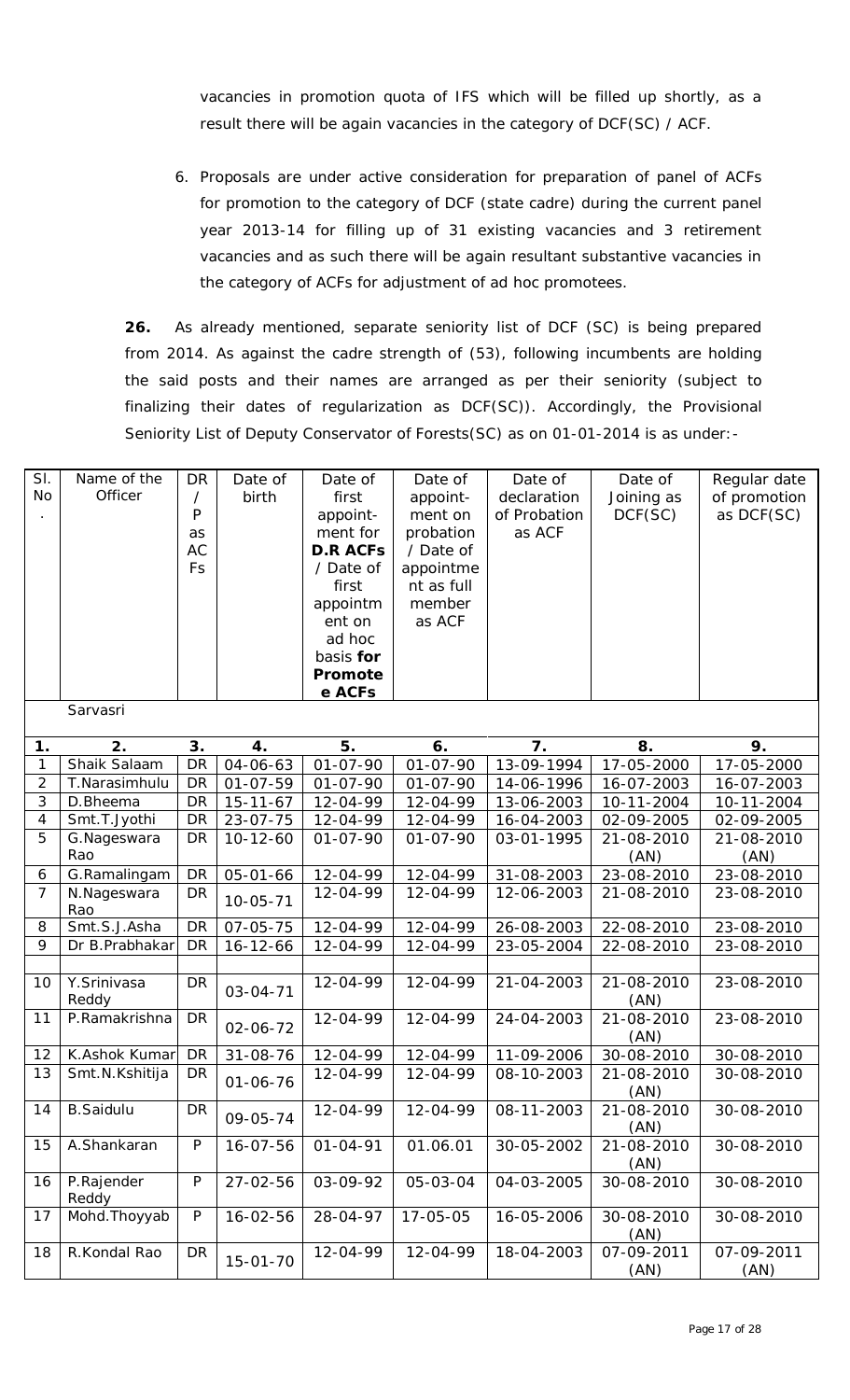vacancies in promotion quota of IFS which will be filled up shortly, as a *result there will be again vacancies in the category of DCF(SC) / ACF.*

*6. Proposals are under active consideration for preparation of panel of ACFs*  for promotion to the category of DCF (state cadre) during the current panel *year 2013-14 for filling up of 31 existing vacancies and 3 retirement vacancies and as such there will be again resultant substantive vacancies in the category of ACFs for adjustment of ad hoc promotees.*

**26.** As already mentioned, separate seniority list of DCF (SC) is being prepared from 2014. As against the cadre strength of (53), following incumbents are holding the said posts and their names are arranged as per their seniority (subject to finalizing their dates of regularization as DCF(SC)). Accordingly, the Provisional Seniority List of Deputy Conservator of Forests(SC) as on 01-01-2014 is as under:-

| SI.<br><b>No</b> | Name of the<br>Officer | <b>DR</b><br>$\prime$<br>P<br>as<br><b>AC</b><br>Fs | Date of<br>birth | Date of<br>first<br>appoint-<br>ment for<br><b>D.R ACFS</b><br>/ Date of<br>first<br>appointm<br>ent on<br>ad hoc<br>basis for<br>Promote<br>e ACFs | Date of<br>appoint-<br>ment on<br>probation<br>/ Date of<br>appointme<br>nt as full<br>member<br>as ACF | Date of<br>declaration<br>of Probation<br>as ACF | Date of<br>Joining as<br>DCF(SC) | Regular date<br>of promotion<br>as DCF(SC) |
|------------------|------------------------|-----------------------------------------------------|------------------|-----------------------------------------------------------------------------------------------------------------------------------------------------|---------------------------------------------------------------------------------------------------------|--------------------------------------------------|----------------------------------|--------------------------------------------|
|                  | Sarvasri               |                                                     |                  |                                                                                                                                                     |                                                                                                         |                                                  |                                  |                                            |
| 1.               | 2.                     | 3.                                                  | 4.               | 5.                                                                                                                                                  | 6.                                                                                                      | 7.                                               | 8.                               | 9.                                         |
| $\mathbf{1}$     | Shaik Salaam           | DR                                                  | 04-06-63         | $01 - 07 - 90$                                                                                                                                      | $01 - 07 - 90$                                                                                          | 13-09-1994                                       | 17-05-2000                       | 17-05-2000                                 |
| $\overline{2}$   | T.Narasimhulu          | <b>DR</b>                                           | $01 - 07 - 59$   | $01 - 07 - 90$                                                                                                                                      | $01 - 07 - 90$                                                                                          | 14-06-1996                                       | 16-07-2003                       | 16-07-2003                                 |
| $\mathfrak{Z}$   | D.Bheema               | <b>DR</b>                                           | $15 - 11 - 67$   | 12-04-99                                                                                                                                            | 12-04-99                                                                                                | 13-06-2003                                       | 10-11-2004                       | 10-11-2004                                 |
| $\overline{4}$   | Smt.T.Jyothi           | <b>DR</b>                                           | $23 - 07 - 75$   | 12-04-99                                                                                                                                            | 12-04-99                                                                                                | 16-04-2003                                       | 02-09-2005                       | 02-09-2005                                 |
| 5                | G.Nageswara            | <b>DR</b>                                           | $10 - 12 - 60$   | $01 - 07 - 90$                                                                                                                                      | $01 - 07 - 90$                                                                                          | 03-01-1995                                       | 21-08-2010                       | 21-08-2010                                 |
|                  | Rao                    |                                                     |                  |                                                                                                                                                     |                                                                                                         |                                                  | (AN)                             | (AN)                                       |
| $\boldsymbol{6}$ | G.Ramalingam           | <b>DR</b>                                           | $05 - 01 - 66$   | 12-04-99                                                                                                                                            | 12-04-99                                                                                                | 31-08-2003                                       | 23-08-2010                       | 23-08-2010                                 |
| $\overline{7}$   | N.Nageswara<br>Rao     | <b>DR</b>                                           | $10 - 05 - 71$   | 12-04-99                                                                                                                                            | 12-04-99                                                                                                | 12-06-2003                                       | 21-08-2010                       | 23-08-2010                                 |
| 8                | Smt.S.J.Asha           | <b>DR</b>                                           | $07 - 05 - 75$   | 12-04-99                                                                                                                                            | 12-04-99                                                                                                | 26-08-2003                                       | 22-08-2010                       | 23-08-2010                                 |
| 9                | Dr B.Prabhakar         | <b>DR</b>                                           | $16 - 12 - 66$   | 12-04-99                                                                                                                                            | 12-04-99                                                                                                | 23-05-2004                                       | 22-08-2010                       | 23-08-2010                                 |
|                  |                        |                                                     |                  |                                                                                                                                                     |                                                                                                         |                                                  |                                  |                                            |
| 10               | Y.Srinivasa<br>Reddy   | <b>DR</b>                                           | $03 - 04 - 71$   | 12-04-99                                                                                                                                            | 12-04-99                                                                                                | 21-04-2003                                       | 21-08-2010<br>(AN)               | 23-08-2010                                 |
| 11               | P.Ramakrishna          | <b>DR</b>                                           | 02-06-72         | 12-04-99                                                                                                                                            | 12-04-99                                                                                                | 24-04-2003                                       | 21-08-2010<br>(AN)               | 23-08-2010                                 |
| 12               | K.Ashok Kumar          | DR                                                  | 31-08-76         | 12-04-99                                                                                                                                            | 12-04-99                                                                                                | 11-09-2006                                       | 30-08-2010                       | 30-08-2010                                 |
| 13               | Smt.N.Kshitija         | DR                                                  | $01 - 06 - 76$   | 12-04-99                                                                                                                                            | 12-04-99                                                                                                | 08-10-2003                                       | 21-08-2010                       | 30-08-2010                                 |
| 14               | <b>B.Saidulu</b>       | <b>DR</b>                                           | 09-05-74         | 12-04-99                                                                                                                                            | 12-04-99                                                                                                | 08-11-2003                                       | (AN)<br>21-08-2010               | 30-08-2010                                 |
|                  |                        |                                                     |                  |                                                                                                                                                     |                                                                                                         |                                                  | (AN)                             |                                            |
| 15               | A.Shankaran            | $\mathsf{P}$                                        | 16-07-56         | $01 - 04 - 91$                                                                                                                                      | 01.06.01                                                                                                | 30-05-2002                                       | 21-08-2010<br>(AN)               | 30-08-2010                                 |
| 16               | P.Rajender<br>Reddy    | $\mathsf{P}$                                        | $27 - 02 - 56$   | 03-09-92                                                                                                                                            | 05-03-04                                                                                                | 04-03-2005                                       | 30-08-2010                       | 30-08-2010                                 |
| 17               | Mohd. Thoyyab          | $\mathsf{P}$                                        | $16 - 02 - 56$   | 28-04-97                                                                                                                                            | 17-05-05                                                                                                | 16-05-2006                                       | 30-08-2010<br>(AN)               | 30-08-2010                                 |
| 18               | R.Kondal Rao           | <b>DR</b>                                           | $15 - 01 - 70$   | 12-04-99                                                                                                                                            | 12-04-99                                                                                                | 18-04-2003                                       | 07-09-2011<br>(AN)               | 07-09-2011<br>(AN)                         |
|                  |                        |                                                     |                  |                                                                                                                                                     |                                                                                                         |                                                  |                                  |                                            |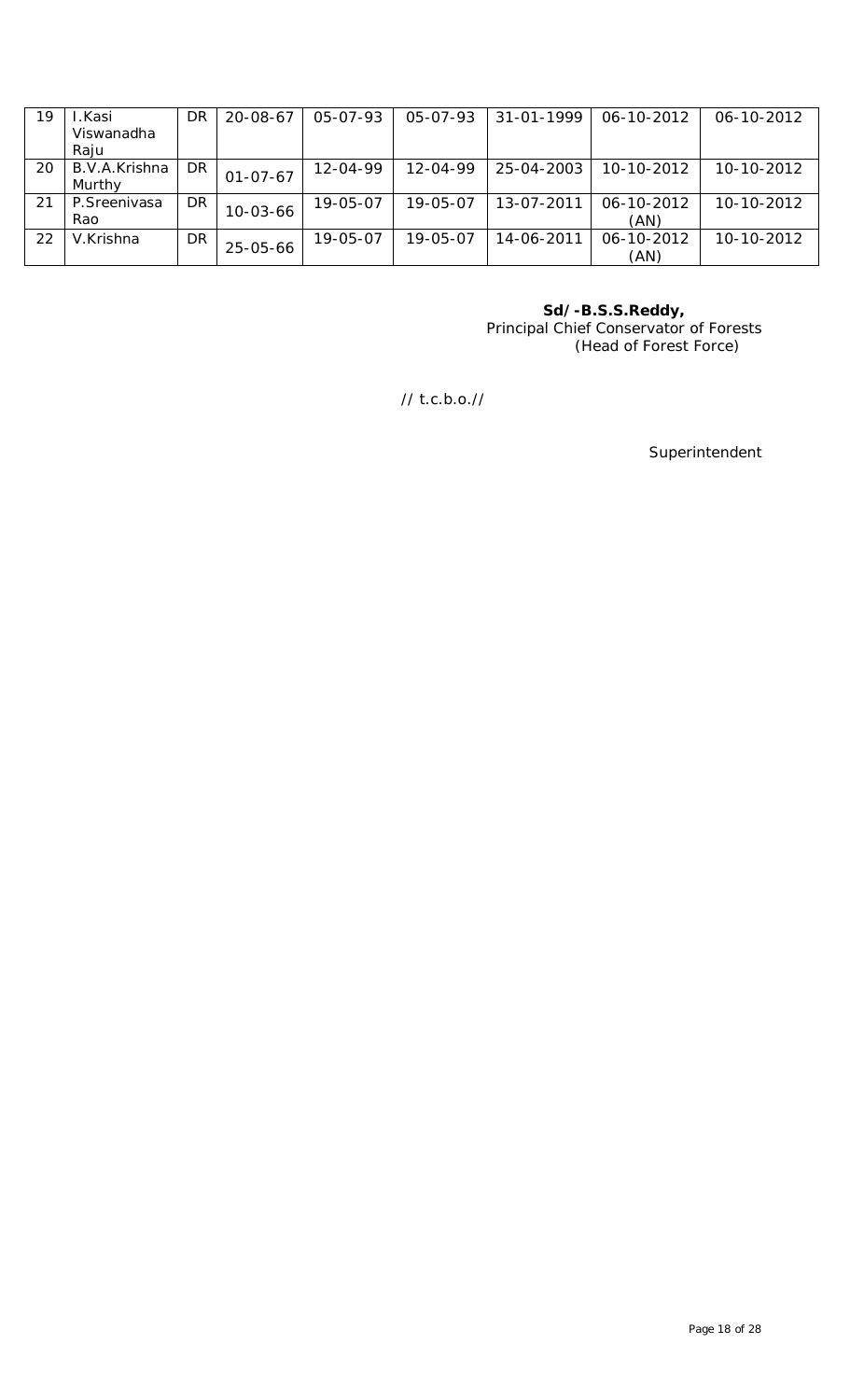| 19 | .Kasi          | DR | $20 - 08 - 67$ | 05-07-93 | $05 - 07 - 93$ | 31-01-1999 | 06-10-2012 | 06-10-2012 |
|----|----------------|----|----------------|----------|----------------|------------|------------|------------|
|    | Viswanadha     |    |                |          |                |            |            |            |
|    | Raju           |    |                |          |                |            |            |            |
| 20 | B.V.A.Krishna  | DR | $01 - 07 - 67$ | 12-04-99 | $12 - 04 - 99$ | 25-04-2003 | 10-10-2012 | 10-10-2012 |
|    | Murthy         |    |                |          |                |            |            |            |
| 21 | P. Sreenivasa  | DR |                | 19-05-07 | 19-05-07       | 13-07-2011 | 06-10-2012 | 10-10-2012 |
|    | Rao            |    | $10 - 03 - 66$ |          |                |            | (AN)       |            |
| 22 | V.Krishna      | DR |                | 19-05-07 | 19-05-07       | 14-06-2011 | 06-10-2012 | 10-10-2012 |
|    | $25 - 05 - 66$ |    |                |          |                | (AN)       |            |            |

**Sd/-B.S.S.Reddy,** Principal Chief Conservator of Forests (Head of Forest Force)

// t.c.b.o.//

Superintendent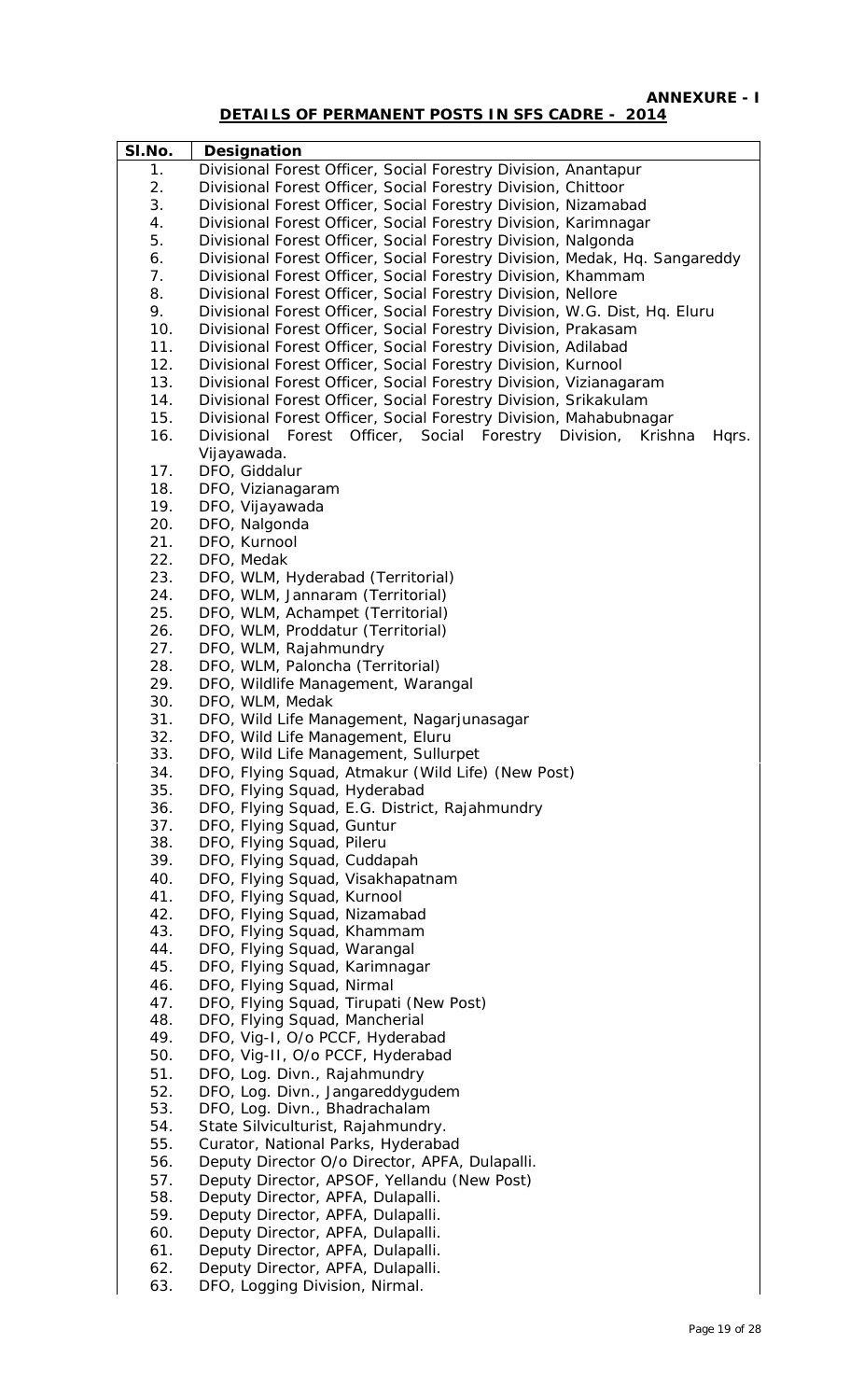**ANNEXURE - I**

## **DETAILS OF PERMANENT POSTS IN SFS CADRE - 2014**

| SI.No. | Designation                                                                |
|--------|----------------------------------------------------------------------------|
| 1.     | Divisional Forest Officer, Social Forestry Division, Anantapur             |
| 2.     | Divisional Forest Officer, Social Forestry Division, Chittoor              |
| 3.     | Divisional Forest Officer, Social Forestry Division, Nizamabad             |
| 4.     | Divisional Forest Officer, Social Forestry Division, Karimnagar            |
| 5.     | Divisional Forest Officer, Social Forestry Division, Nalgonda              |
| 6.     | Divisional Forest Officer, Social Forestry Division, Medak, Hq. Sangareddy |
| 7.     | Divisional Forest Officer, Social Forestry Division, Khammam               |
| 8.     | Divisional Forest Officer, Social Forestry Division, Nellore               |
| 9.     | Divisional Forest Officer, Social Forestry Division, W.G. Dist, Hq. Eluru  |
| 10.    | Divisional Forest Officer, Social Forestry Division, Prakasam              |
| 11.    | Divisional Forest Officer, Social Forestry Division, Adilabad              |
| 12.    | Divisional Forest Officer, Social Forestry Division, Kurnool               |
| 13.    | Divisional Forest Officer, Social Forestry Division, Vizianagaram          |
| 14.    | Divisional Forest Officer, Social Forestry Division, Srikakulam            |
| 15.    | Divisional Forest Officer, Social Forestry Division, Mahabubnagar          |
| 16.    | Divisional Forest Officer, Social Forestry Division,<br>Krishna<br>Hqrs.   |
|        | Vijayawada.                                                                |
| 17.    | DFO, Giddalur                                                              |
| 18.    | DFO, Vizianagaram                                                          |
| 19.    | DFO, Vijayawada                                                            |
| 20.    | DFO, Nalgonda                                                              |
| 21.    | DFO, Kurnool                                                               |
| 22.    | DFO, Medak                                                                 |
| 23.    | DFO, WLM, Hyderabad (Territorial)                                          |
| 24.    | DFO, WLM, Jannaram (Territorial)                                           |
| 25.    | DFO, WLM, Achampet (Territorial)                                           |
| 26.    | DFO, WLM, Proddatur (Territorial)                                          |
| 27.    | DFO, WLM, Rajahmundry                                                      |
| 28.    | DFO, WLM, Paloncha (Territorial)                                           |
| 29.    | DFO, Wildlife Management, Warangal                                         |
| 30.    | DFO, WLM, Medak                                                            |
| 31.    | DFO, Wild Life Management, Nagarjunasagar                                  |
| 32.    | DFO, Wild Life Management, Eluru                                           |
| 33.    | DFO, Wild Life Management, Sullurpet                                       |
| 34.    | DFO, Flying Squad, Atmakur (Wild Life) (New Post)                          |
| 35.    | DFO, Flying Squad, Hyderabad                                               |
| 36.    | DFO, Flying Squad, E.G. District, Rajahmundry                              |
| 37.    | DFO, Flying Squad, Guntur                                                  |
| 38.    | DFO, Flying Squad, Pileru                                                  |
| 39.    | DFO, Flying Squad, Cuddapah                                                |
| 40.    | DFO, Flying Squad, Visakhapatnam                                           |
| 41.    | DFO, Flying Squad, Kurnool                                                 |
| 42.    | DFO, Flying Squad, Nizamabad                                               |
| 43.    | DFO, Flying Squad, Khammam                                                 |
| 44.    | DFO, Flying Squad, Warangal                                                |
| 45.    | DFO, Flying Squad, Karimnagar                                              |
| 46.    | DFO, Flying Squad, Nirmal                                                  |
| 47.    | DFO, Flying Squad, Tirupati (New Post)                                     |
| 48.    | DFO, Flying Squad, Mancherial                                              |
| 49.    | DFO, Vig-I, O/o PCCF, Hyderabad                                            |
| 50.    | DFO, Vig-II, O/o PCCF, Hyderabad                                           |
| 51.    | DFO, Log. Divn., Rajahmundry                                               |
| 52.    | DFO, Log. Divn., Jangareddygudem                                           |
| 53.    | DFO, Log. Divn., Bhadrachalam                                              |
| 54.    | State Silviculturist, Rajahmundry.                                         |
| 55.    | Curator, National Parks, Hyderabad                                         |
| 56.    | Deputy Director O/o Director, APFA, Dulapalli.                             |
| 57.    | Deputy Director, APSOF, Yellandu (New Post)                                |
| 58.    | Deputy Director, APFA, Dulapalli.                                          |
| 59.    | Deputy Director, APFA, Dulapalli.                                          |
| 60.    | Deputy Director, APFA, Dulapalli.                                          |
| 61.    | Deputy Director, APFA, Dulapalli.                                          |
| 62.    | Deputy Director, APFA, Dulapalli.                                          |
| 63.    | DFO, Logging Division, Nirmal.                                             |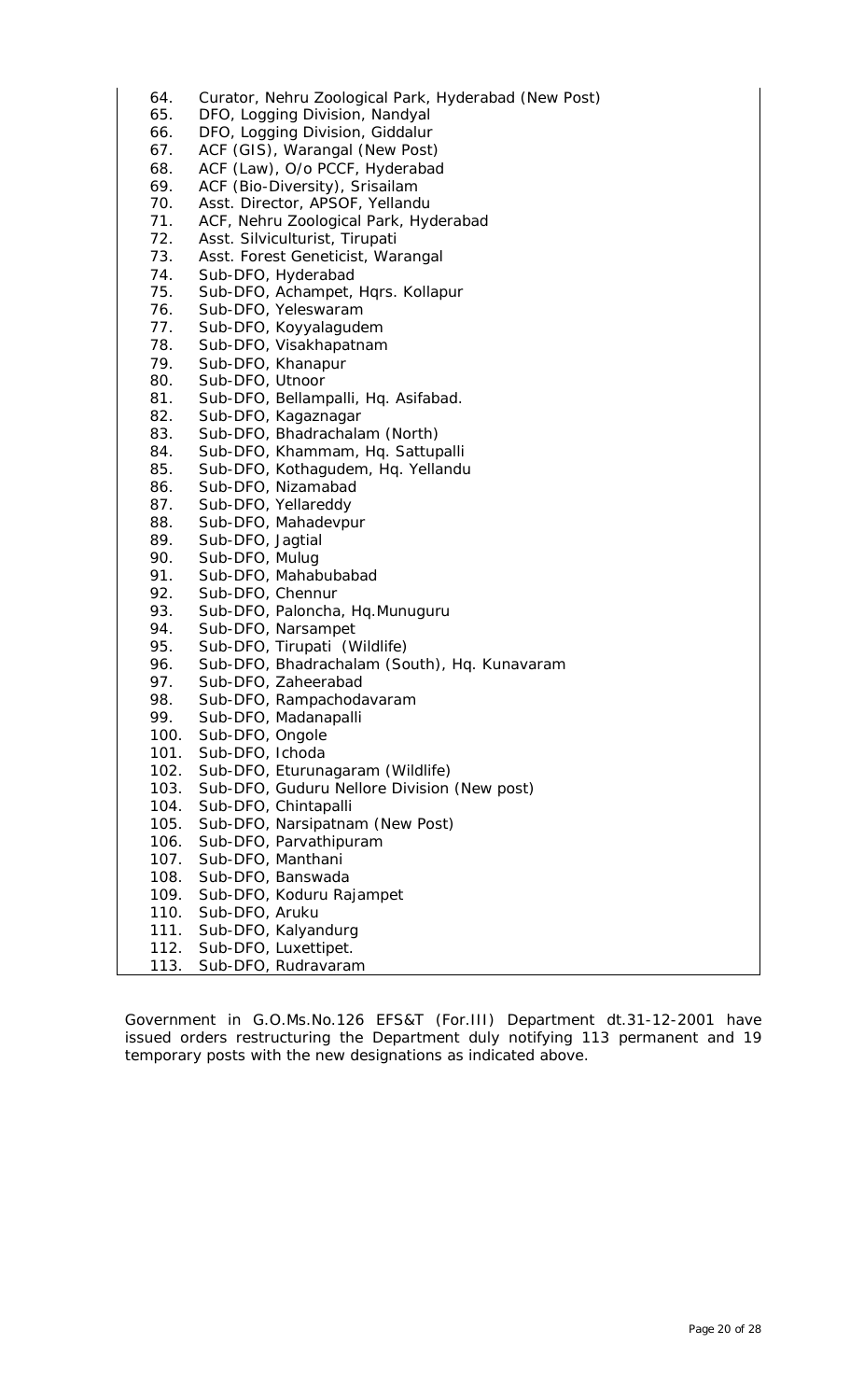| 64.  | Curator, Nehru Zoological Park, Hyderabad (New Post) |
|------|------------------------------------------------------|
| 65.  |                                                      |
|      | DFO, Logging Division, Nandyal                       |
| 66.  | DFO, Logging Division, Giddalur                      |
| 67.  | ACF (GIS), Warangal (New Post)                       |
| 68.  | ACF (Law), O/o PCCF, Hyderabad                       |
| 69.  | ACF (Bio-Diversity), Srisailam                       |
| 70.  | Asst. Director, APSOF, Yellandu                      |
| 71.  | ACF, Nehru Zoological Park, Hyderabad                |
| 72.  | Asst. Silviculturist, Tirupati                       |
| 73.  | Asst. Forest Geneticist, Warangal                    |
| 74.  | Sub-DFO, Hyderabad                                   |
| 75.  | Sub-DFO, Achampet, Hqrs. Kollapur                    |
| 76.  | Sub-DFO, Yeleswaram                                  |
| 77.  | Sub-DFO, Koyyalagudem                                |
| 78.  | Sub-DFO, Visakhapatnam                               |
| 79.  | Sub-DFO, Khanapur                                    |
| 80.  | Sub-DFO, Utnoor                                      |
| 81.  | Sub-DFO, Bellampalli, Hq. Asifabad.                  |
| 82.  | Sub-DFO, Kagaznagar                                  |
| 83.  | Sub-DFO, Bhadrachalam (North)                        |
| 84.  | Sub-DFO, Khammam, Hq. Sattupalli                     |
| 85.  | Sub-DFO, Kothagudem, Hq. Yellandu                    |
| 86.  | Sub-DFO, Nizamabad                                   |
| 87.  | Sub-DFO, Yellareddy                                  |
| 88.  | Sub-DFO, Mahadevpur                                  |
| 89.  | Sub-DFO, Jagtial                                     |
| 90.  | Sub-DFO, Mulug                                       |
| 91.  | Sub-DFO, Mahabubabad                                 |
| 92.  | Sub-DFO, Chennur                                     |
| 93.  | Sub-DFO, Paloncha, Hq.Munuguru                       |
| 94.  | Sub-DFO, Narsampet                                   |
| 95.  | Sub-DFO, Tirupati (Wildlife)                         |
| 96.  | Sub-DFO, Bhadrachalam (South), Hq. Kunavaram         |
| 97.  | Sub-DFO, Zaheerabad                                  |
| 98.  | Sub-DFO, Rampachodavaram                             |
| 99.  | Sub-DFO, Madanapalli                                 |
| 100. | Sub-DFO, Ongole                                      |
| 101. | Sub-DFO, Ichoda                                      |
| 102. | Sub-DFO, Eturunagaram (Wildlife)                     |
| 103. | Sub-DFO, Guduru Nellore Division (New post)          |
| 104. | Sub-DFO, Chintapalli                                 |
| 105. | Sub-DFO, Narsipatnam (New Post)                      |
| 106. | Sub-DFO, Parvathipuram                               |
| 107. | Sub-DFO, Manthani                                    |
| 108. | Sub-DFO, Banswada                                    |
| 109. | Sub-DFO, Koduru Rajampet                             |
| 110. | Sub-DFO, Aruku                                       |
| 111. | Sub-DFO, Kalyandurg                                  |
| 112. | Sub-DFO, Luxettipet.                                 |
| 113. | Sub-DFO, Rudravaram                                  |

Government in G.O.Ms.No.126 EFS&T (For.III) Department dt.31-12-2001 have issued orders restructuring the Department duly notifying 113 permanent and 19 temporary posts with the new designations as indicated above.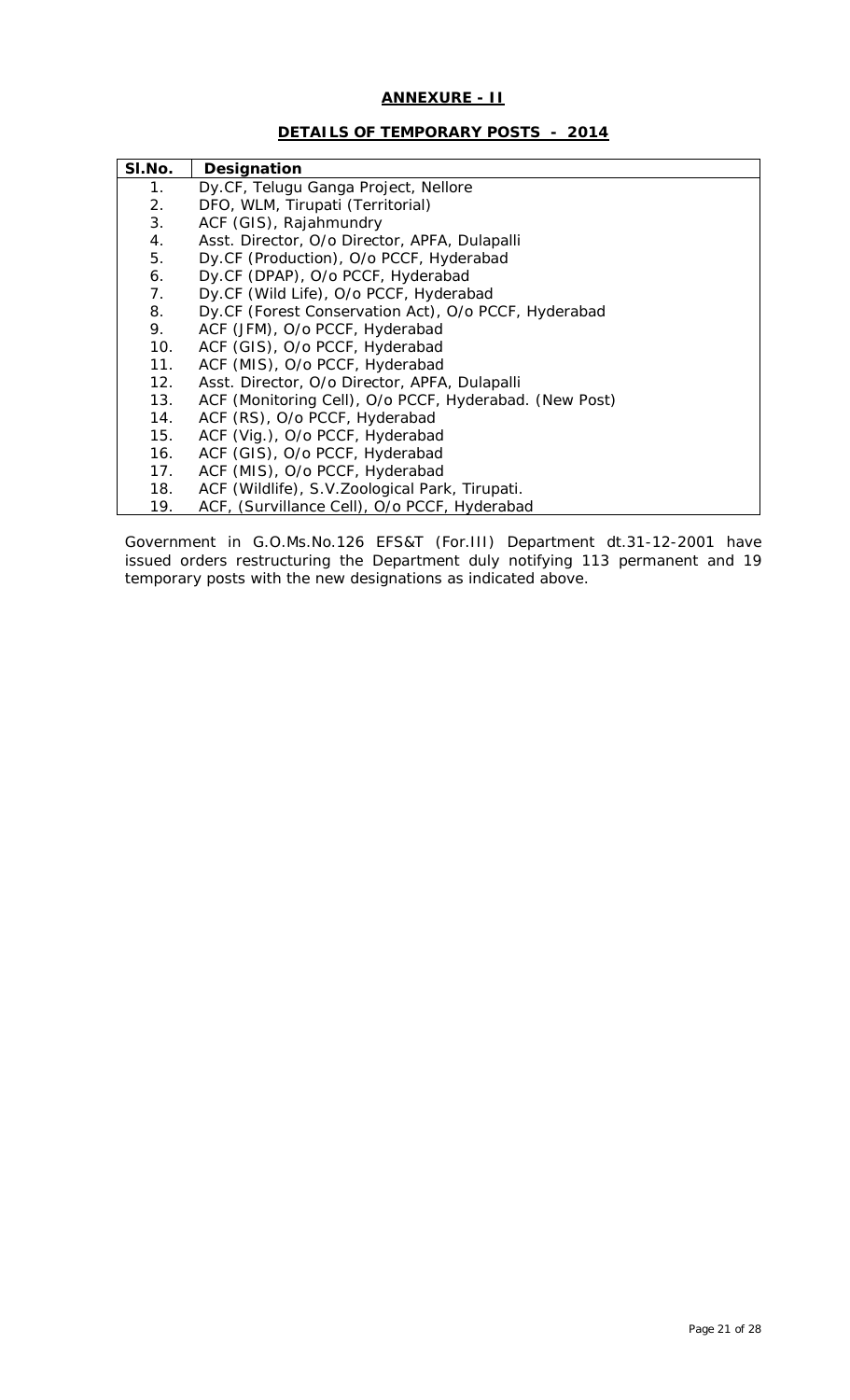### **ANNEXURE - II**

### **DETAILS OF TEMPORARY POSTS - 2014**

| SI.No. | Designation                                            |
|--------|--------------------------------------------------------|
| 1.     | Dy.CF, Telugu Ganga Project, Nellore                   |
| 2.     | DFO, WLM, Tirupati (Territorial)                       |
| 3.     | ACF (GIS), Rajahmundry                                 |
| 4.     | Asst. Director, O/o Director, APFA, Dulapalli          |
| 5.     | Dy.CF (Production), O/o PCCF, Hyderabad                |
| 6.     | Dy.CF (DPAP), O/o PCCF, Hyderabad                      |
| 7.     | Dy.CF (Wild Life), O/o PCCF, Hyderabad                 |
| 8.     | Dy.CF (Forest Conservation Act), O/o PCCF, Hyderabad   |
| 9.     | ACF (JFM), O/o PCCF, Hyderabad                         |
| 10.    | ACF (GIS), O/o PCCF, Hyderabad                         |
| 11.    | ACF (MIS), O/o PCCF, Hyderabad                         |
| 12.    | Asst. Director, O/o Director, APFA, Dulapalli          |
| 13.    | ACF (Monitoring Cell), O/o PCCF, Hyderabad. (New Post) |
| 14.    | ACF (RS), O/o PCCF, Hyderabad                          |
| 15.    | ACF (Vig.), O/o PCCF, Hyderabad                        |
| 16.    | ACF (GIS), O/o PCCF, Hyderabad                         |
| 17.    | ACF (MIS), O/o PCCF, Hyderabad                         |
| 18.    | ACF (Wildlife), S.V.Zoological Park, Tirupati.         |
| 19.    | ACF, (Survillance Cell), O/o PCCF, Hyderabad           |

Government in G.O.Ms.No.126 EFS&T (For.III) Department dt.31-12-2001 have issued orders restructuring the Department duly notifying 113 permanent and 19 temporary posts with the new designations as indicated above.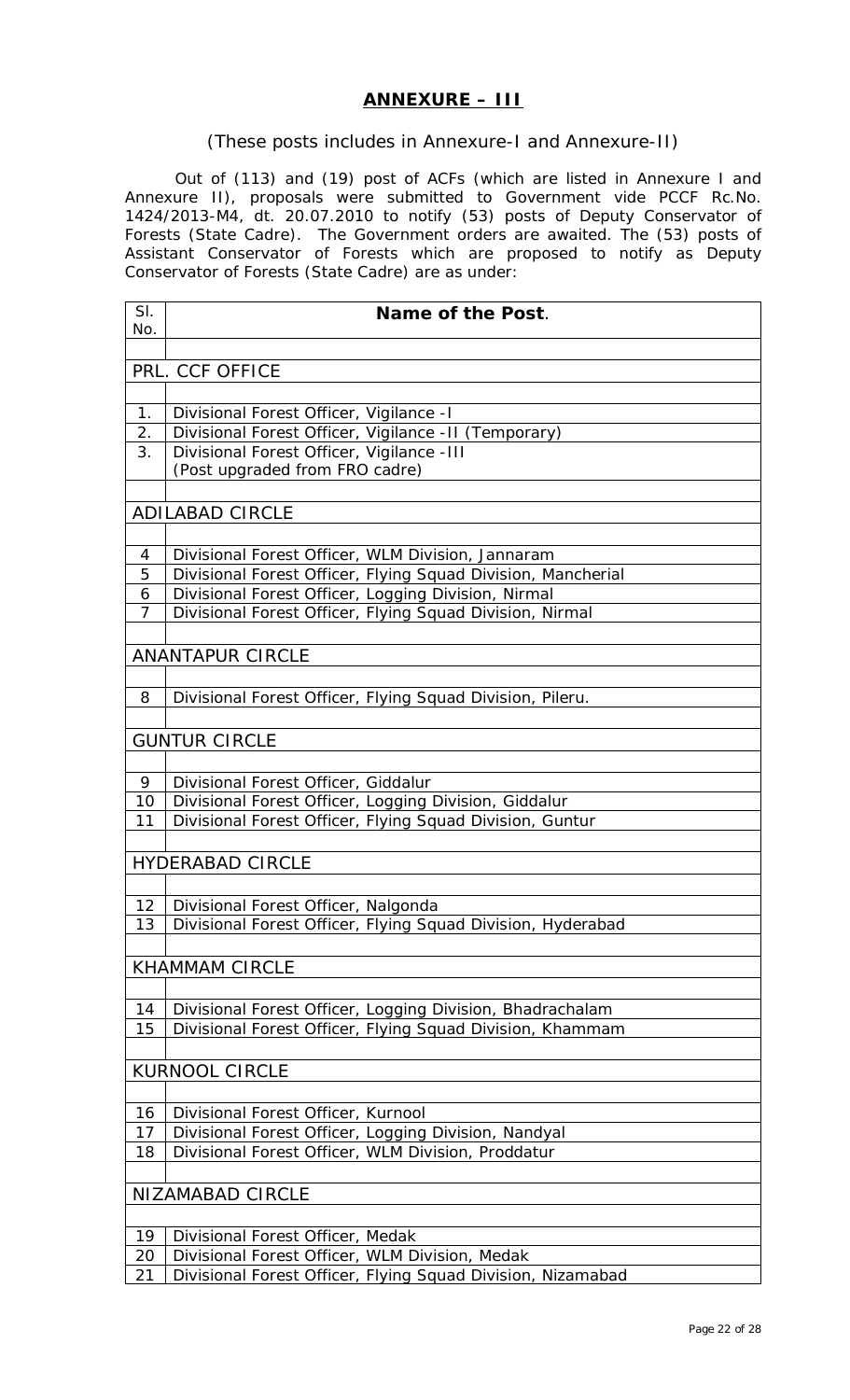# **ANNEXURE – III**

### (These posts includes in Annexure-I and Annexure-II)

Out of (113) and (19) post of ACFs (which are listed in Annexure I and Annexure II), proposals were submitted to Government vide PCCF Rc.No. 1424/2013-M4, dt. 20.07.2010 to notify (53) posts of Deputy Conservator of Forests (State Cadre). The Government orders are awaited. The (53) posts of Assistant Conservator of Forests which are proposed to notify as Deputy Conservator of Forests (State Cadre) are as under:

| SI.            | Name of the Post.                                            |
|----------------|--------------------------------------------------------------|
| No.            |                                                              |
|                |                                                              |
|                | PRL. CCF OFFICE                                              |
|                |                                                              |
| 1.             | Divisional Forest Officer, Vigilance - I                     |
| 2.             | Divisional Forest Officer, Vigilance - II (Temporary)        |
| 3.             | Divisional Forest Officer, Vigilance - III                   |
|                | (Post upgraded from FRO cadre)                               |
|                |                                                              |
|                | <b>ADILABAD CIRCLE</b>                                       |
|                |                                                              |
| 4              | Divisional Forest Officer, WLM Division, Jannaram            |
| 5              | Divisional Forest Officer, Flying Squad Division, Mancherial |
| 6              | Divisional Forest Officer, Logging Division, Nirmal          |
| $\overline{7}$ | Divisional Forest Officer, Flying Squad Division, Nirmal     |
|                |                                                              |
|                | <b>ANANTAPUR CIRCLE</b>                                      |
|                |                                                              |
| 8              | Divisional Forest Officer, Flying Squad Division, Pileru.    |
|                |                                                              |
|                | <b>GUNTUR CIRCLE</b>                                         |
|                |                                                              |
| 9              | Divisional Forest Officer, Giddalur                          |
| 10             | Divisional Forest Officer, Logging Division, Giddalur        |
| 11             | Divisional Forest Officer, Flying Squad Division, Guntur     |
|                |                                                              |
|                | <b>HYDERABAD CIRCLE</b>                                      |
|                |                                                              |
| 12             | Divisional Forest Officer, Nalgonda                          |
| 13             | Divisional Forest Officer, Flying Squad Division, Hyderabad  |
|                |                                                              |
|                | <b>KHAMMAM CIRCLE</b>                                        |
|                |                                                              |
| 14             | Divisional Forest Officer, Logging Division, Bhadrachalam    |
| 15             | Divisional Forest Officer, Flying Squad Division, Khammam    |
|                |                                                              |
|                | <b>KURNOOL CIRCLE</b>                                        |
|                |                                                              |
| 16             | Divisional Forest Officer, Kurnool                           |
| 17             | Divisional Forest Officer, Logging Division, Nandyal         |
| 18             | Divisional Forest Officer, WLM Division, Proddatur           |
|                |                                                              |
|                | <b>NIZAMABAD CIRCLE</b>                                      |
|                |                                                              |
| 19             | Divisional Forest Officer, Medak                             |
| 20             | Divisional Forest Officer, WLM Division, Medak               |
| 21             | Divisional Forest Officer, Flying Squad Division, Nizamabad  |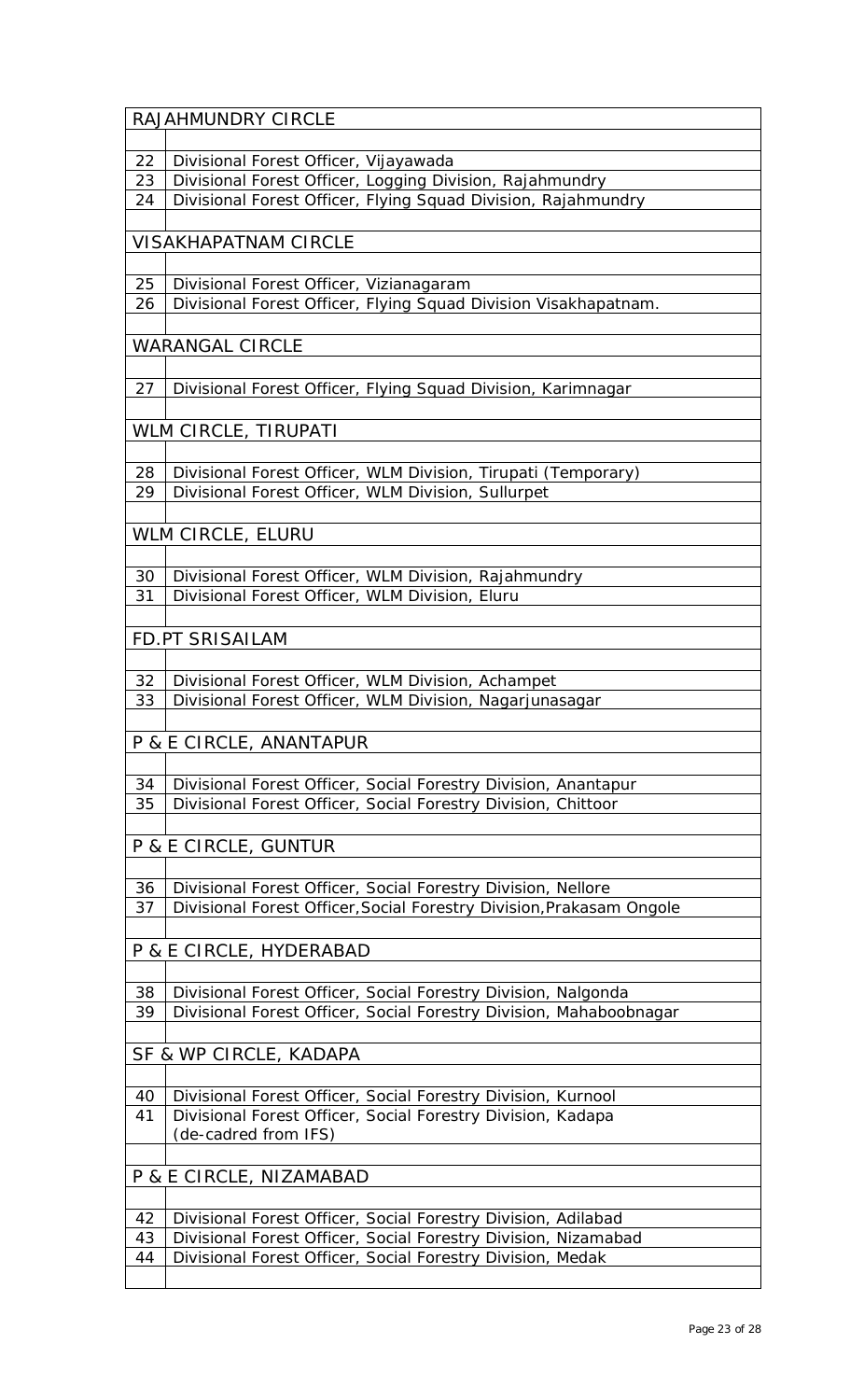|          | RAJAHMUNDRY CIRCLE                                                                                                                  |
|----------|-------------------------------------------------------------------------------------------------------------------------------------|
|          |                                                                                                                                     |
| 22       | Divisional Forest Officer, Vijayawada                                                                                               |
| 23       | Divisional Forest Officer, Logging Division, Rajahmundry                                                                            |
| 24       | Divisional Forest Officer, Flying Squad Division, Rajahmundry                                                                       |
|          |                                                                                                                                     |
|          | <b>VISAKHAPATNAM CIRCLE</b>                                                                                                         |
|          |                                                                                                                                     |
| 25       | Divisional Forest Officer, Vizianagaram                                                                                             |
| 26       | Divisional Forest Officer, Flying Squad Division Visakhapatnam.                                                                     |
|          |                                                                                                                                     |
|          | <b>WARANGAL CIRCLE</b>                                                                                                              |
|          |                                                                                                                                     |
| 27       | Divisional Forest Officer, Flying Squad Division, Karimnagar                                                                        |
|          |                                                                                                                                     |
|          | WLM CIRCLE, TIRUPATI                                                                                                                |
|          |                                                                                                                                     |
| 28       | Divisional Forest Officer, WLM Division, Tirupati (Temporary)                                                                       |
| 29       | Divisional Forest Officer, WLM Division, Sullurpet                                                                                  |
|          |                                                                                                                                     |
|          | WLM CIRCLE, ELURU                                                                                                                   |
|          |                                                                                                                                     |
| 30       | Divisional Forest Officer, WLM Division, Rajahmundry                                                                                |
| 31       | Divisional Forest Officer, WLM Division, Eluru                                                                                      |
|          |                                                                                                                                     |
|          | FD.PT SRISAILAM                                                                                                                     |
|          |                                                                                                                                     |
| 32       | Divisional Forest Officer, WLM Division, Achampet                                                                                   |
| 33       | Divisional Forest Officer, WLM Division, Nagarjunasagar                                                                             |
|          |                                                                                                                                     |
|          | P & E CIRCLE, ANANTAPUR                                                                                                             |
|          |                                                                                                                                     |
| 34       | Divisional Forest Officer, Social Forestry Division, Anantapur                                                                      |
| 35       | Divisional Forest Officer, Social Forestry Division, Chittoor                                                                       |
|          |                                                                                                                                     |
|          | P & E CIRCLE, GUNTUR                                                                                                                |
|          |                                                                                                                                     |
| 36       | Divisional Forest Officer, Social Forestry Division, Nellore                                                                        |
| 37       | Divisional Forest Officer, Social Forestry Division, Prakasam Ongole                                                                |
|          |                                                                                                                                     |
|          | P & E CIRCLE, HYDERABAD                                                                                                             |
|          |                                                                                                                                     |
|          |                                                                                                                                     |
| 38<br>39 | Divisional Forest Officer, Social Forestry Division, Nalgonda<br>Divisional Forest Officer, Social Forestry Division, Mahaboobnagar |
|          |                                                                                                                                     |
|          |                                                                                                                                     |
|          | SF & WP CIRCLE, KADAPA                                                                                                              |
|          |                                                                                                                                     |
| 40       | Divisional Forest Officer, Social Forestry Division, Kurnool                                                                        |
| 41       | Divisional Forest Officer, Social Forestry Division, Kadapa<br>(de-cadred from IFS)                                                 |
|          |                                                                                                                                     |
|          |                                                                                                                                     |
|          | P & E CIRCLE, NIZAMABAD                                                                                                             |
|          |                                                                                                                                     |
| 42       | Divisional Forest Officer, Social Forestry Division, Adilabad                                                                       |
| 43       | Divisional Forest Officer, Social Forestry Division, Nizamabad                                                                      |
| 44       | Divisional Forest Officer, Social Forestry Division, Medak                                                                          |
|          |                                                                                                                                     |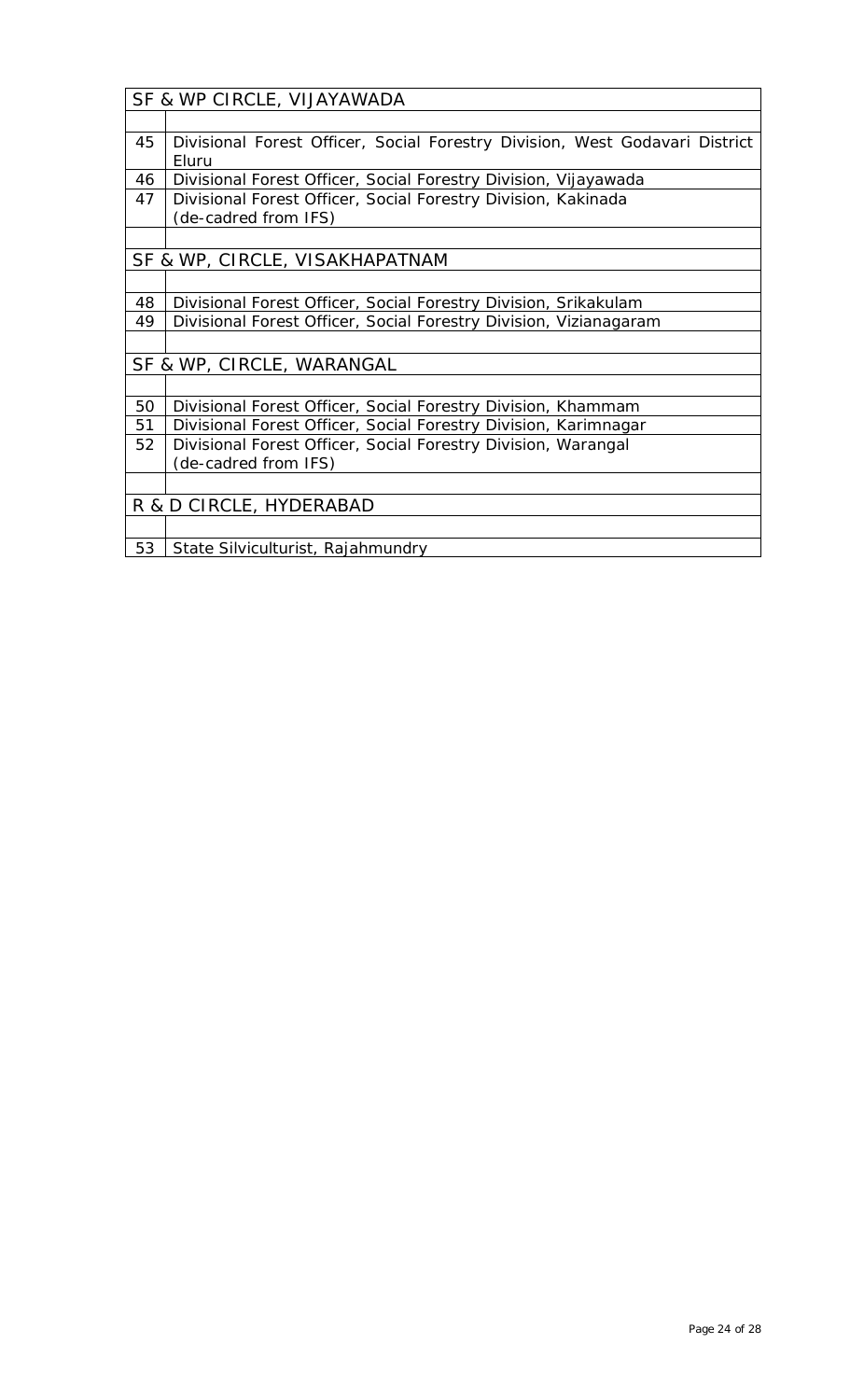|    | SF & WP CIRCLE, VIJAYAWADA                                                  |
|----|-----------------------------------------------------------------------------|
|    |                                                                             |
| 45 | Divisional Forest Officer, Social Forestry Division, West Godavari District |
|    | Eluru                                                                       |
| 46 | Divisional Forest Officer, Social Forestry Division, Vijayawada             |
| 47 | Divisional Forest Officer, Social Forestry Division, Kakinada               |
|    | (de-cadred from IFS)                                                        |
|    |                                                                             |
|    | SF & WP, CIRCLE, VISAKHAPATNAM                                              |
|    |                                                                             |
| 48 | Divisional Forest Officer, Social Forestry Division, Srikakulam             |
| 49 | Divisional Forest Officer, Social Forestry Division, Vizianagaram           |
|    |                                                                             |
|    | SF & WP, CIRCLE, WARANGAL                                                   |
|    |                                                                             |
| 50 | Divisional Forest Officer, Social Forestry Division, Khammam                |
| 51 | Divisional Forest Officer, Social Forestry Division, Karimnagar             |
| 52 | Divisional Forest Officer, Social Forestry Division, Warangal               |
|    | (de-cadred from IFS)                                                        |
|    |                                                                             |
|    | R & D CIRCLE, HYDERABAD                                                     |
|    |                                                                             |
| 53 | State Silviculturist, Rajahmundry                                           |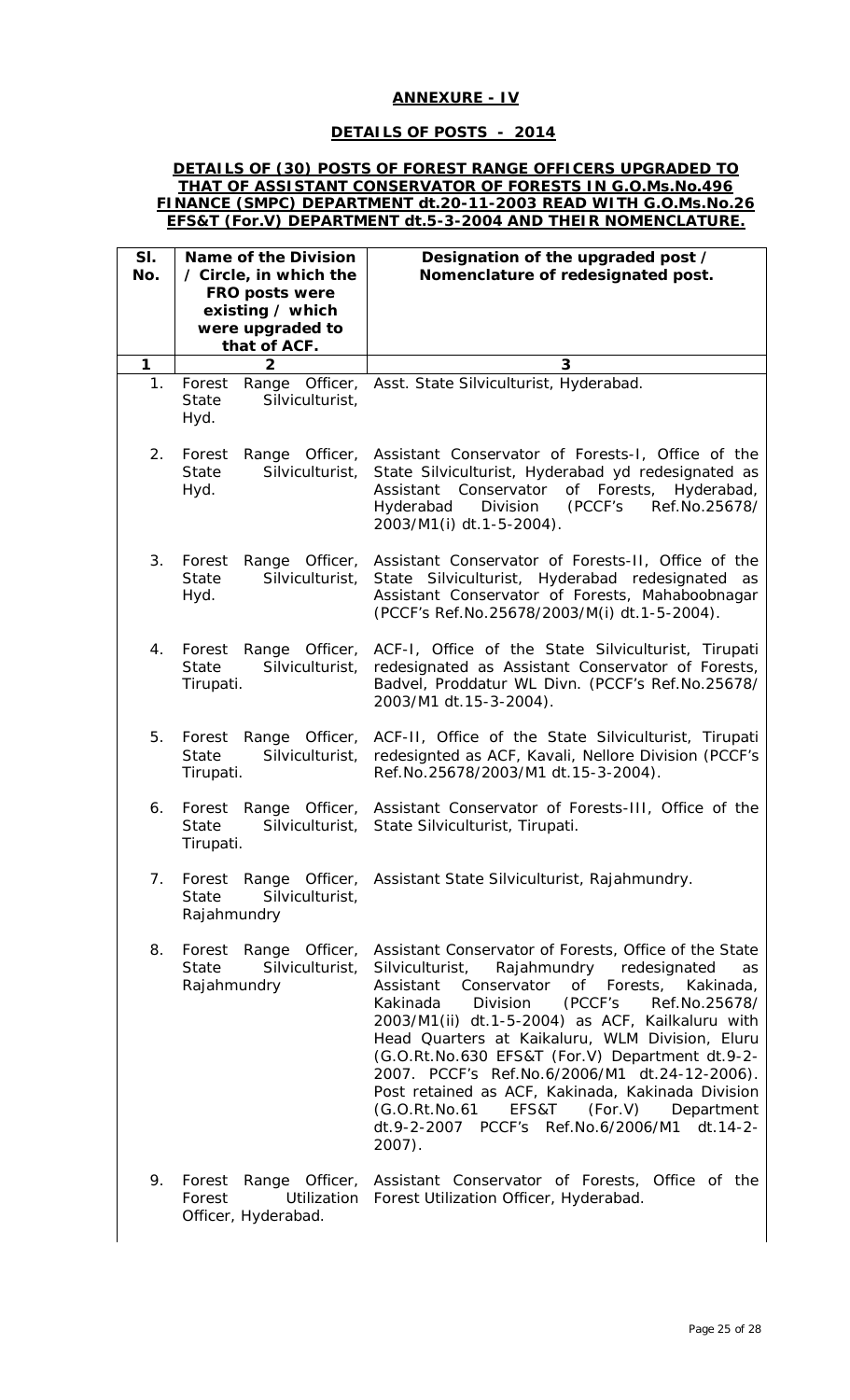### **ANNEXURE - IV**

### **DETAILS OF POSTS - 2014**

#### **DETAILS OF (30) POSTS OF FOREST RANGE OFFICERS UPGRADED TO THAT OF ASSISTANT CONSERVATOR OF FORESTS IN G.O.Ms.No.496 FINANCE (SMPC) DEPARTMENT dt.20-11-2003 READ WITH G.O.Ms.No.26 EFS&T (For.V) DEPARTMENT dt.5-3-2004 AND THEIR NOMENCLATURE.**

| SI.<br>No.  | <b>Name of the Division</b><br>/ Circle, in which the<br>FRO posts were<br>existing / which<br>were upgraded to<br>that of ACF. | Designation of the upgraded post /<br>Nomenclature of redesignated post.                                                                                                                                                                                                                                                                                                                                                                                                                                                                                                                                  |
|-------------|---------------------------------------------------------------------------------------------------------------------------------|-----------------------------------------------------------------------------------------------------------------------------------------------------------------------------------------------------------------------------------------------------------------------------------------------------------------------------------------------------------------------------------------------------------------------------------------------------------------------------------------------------------------------------------------------------------------------------------------------------------|
| 1           | $\overline{2}$                                                                                                                  | 3                                                                                                                                                                                                                                                                                                                                                                                                                                                                                                                                                                                                         |
| $1_{\cdot}$ | Forest<br>Range Officer,<br>Silviculturist,<br><b>State</b><br>Hyd.                                                             | Asst. State Silviculturist, Hyderabad.                                                                                                                                                                                                                                                                                                                                                                                                                                                                                                                                                                    |
| 2.          | Forest<br>Range<br>Officer,<br>State<br>Silviculturist,<br>Hyd.                                                                 | Assistant Conservator of Forests-I, Office of the<br>State Silviculturist, Hyderabad yd redesignated as<br>Conservator of Forests,<br>Hyderabad,<br>Assistant<br>(PCCF's<br>Division<br>Ref.No.25678/<br>Hyderabad<br>2003/M1(i) dt.1-5-2004).                                                                                                                                                                                                                                                                                                                                                            |
| 3.          | Forest<br>Range<br>Officer,<br><b>State</b><br>Silviculturist,<br>Hyd.                                                          | Assistant Conservator of Forests-II, Office of the<br>Silviculturist, Hyderabad redesignated<br>State<br>as<br>Assistant Conservator of Forests, Mahaboobnagar<br>(PCCF's Ref.No.25678/2003/M(i) dt.1-5-2004).                                                                                                                                                                                                                                                                                                                                                                                            |
| 4.          | Forest<br>Range Officer,<br>Silviculturist,<br><b>State</b><br>Tirupati.                                                        | ACF-I, Office of the State Silviculturist, Tirupati<br>redesignated as Assistant Conservator of Forests,<br>Badvel, Proddatur WL Divn. (PCCF's Ref.No.25678/<br>2003/M1 dt.15-3-2004).                                                                                                                                                                                                                                                                                                                                                                                                                    |
| 5.          | Forest<br>Range Officer,<br>Silviculturist,<br>State<br>Tirupati.                                                               | ACF-II, Office of the State Silviculturist, Tirupati<br>redesignted as ACF, Kavali, Nellore Division (PCCF's<br>Ref.No.25678/2003/M1 dt.15-3-2004).                                                                                                                                                                                                                                                                                                                                                                                                                                                       |
| 6.          | Range Officer,<br>Forest<br>State<br>Silviculturist,<br>Tirupati.                                                               | Assistant Conservator of Forests-III, Office of the<br>State Silviculturist, Tirupati.                                                                                                                                                                                                                                                                                                                                                                                                                                                                                                                    |
| 7.          | Silviculturist,<br>State<br>Rajahmundry                                                                                         | Forest Range Officer, Assistant State Silviculturist, Rajahmundry.                                                                                                                                                                                                                                                                                                                                                                                                                                                                                                                                        |
| 8.          | Forest Range Officer,<br><b>State</b><br>Silviculturist,<br>Rajahmundry                                                         | Assistant Conservator of Forests, Office of the State<br>Rajahmundry<br>redesignated<br>Silviculturist,<br>as<br>of Forests,<br>Assistant<br>Conservator<br>Kakinada,<br>(PCCF's<br>Kakinada<br>Division<br>Ref.No.25678/<br>2003/M1(ii) dt.1-5-2004) as ACF, Kailkaluru with<br>Head Quarters at Kaikaluru, WLM Division, Eluru<br>(G.O.Rt.No.630 EFS&T (For.V) Department dt.9-2-<br>2007. PCCF's Ref.No.6/2006/M1 dt.24-12-2006).<br>Post retained as ACF, Kakinada, Kakinada Division<br>EFS&T<br>(For.V)<br>(G.O.Rt.No.61<br>Department<br>dt.9-2-2007 PCCF's Ref.No.6/2006/M1 dt.14-2-<br>$2007$ ). |
| 9.          | Forest<br>Forest<br>Utilization<br>Officer, Hyderabad.                                                                          | Range Officer, Assistant Conservator of Forests, Office of the<br>Forest Utilization Officer, Hyderabad.                                                                                                                                                                                                                                                                                                                                                                                                                                                                                                  |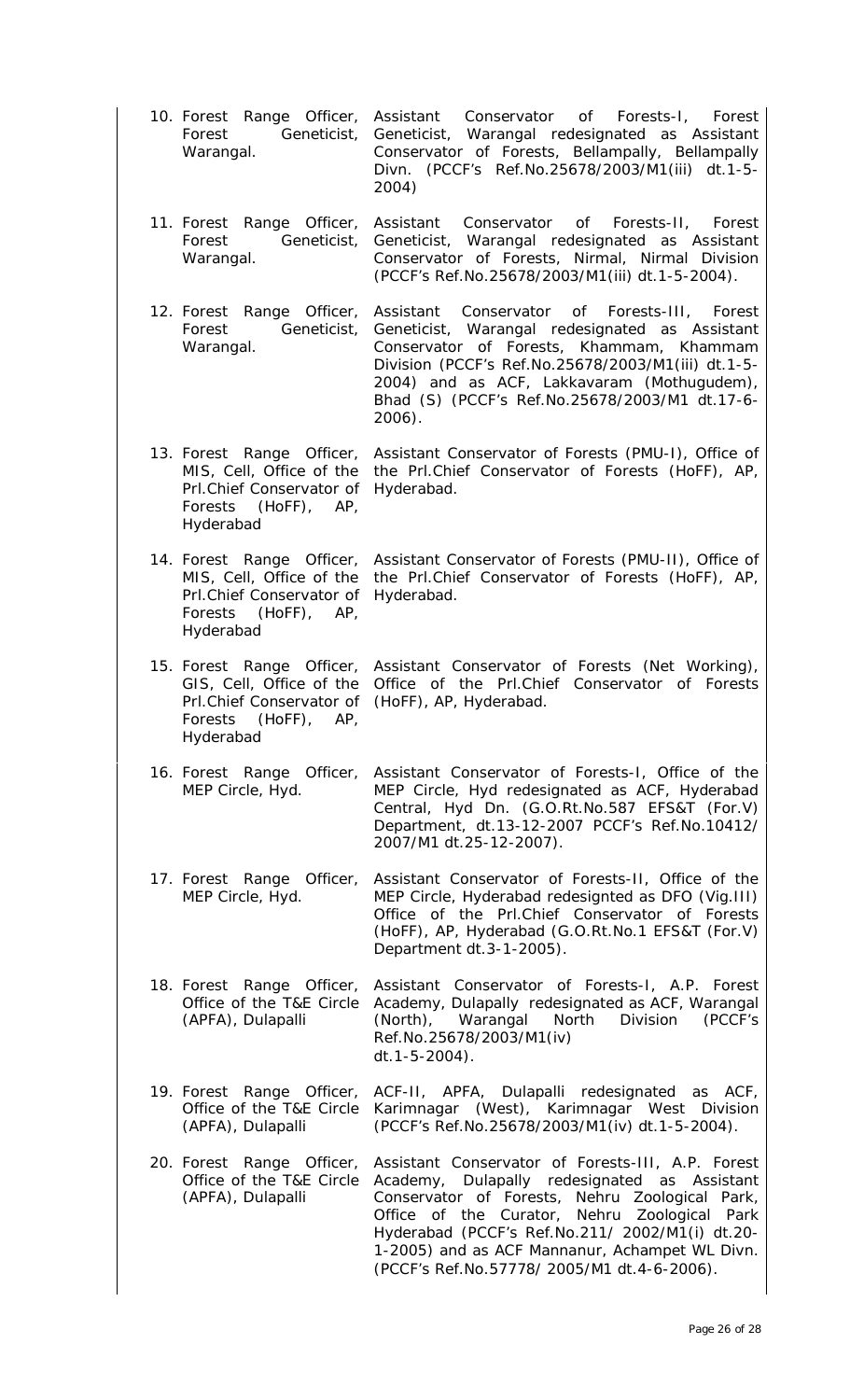10. Forest Range Officer, Forest Geneticist, Warangal. Conservator of Forests-I, Forest Geneticist, Warangal redesignated as Assistant Conservator of Forests, Bellampally, Bellampally Divn. (PCCF's Ref.No.25678/2003/M1(iii) dt.1-5- 2004) 11. Forest Range Officer, Forest Geneticist, Warangal. Assistant Conservator of Forests-II, Forest Geneticist, Warangal redesignated as Assistant Conservator of Forests, Nirmal, Nirmal Division (PCCF's Ref.No.25678/2003/M1(iii) dt.1-5-2004). 12. Forest Range Officer, Forest Geneticist, Warangal. Assistant Conservator of Forests-III, Forest Geneticist, Warangal redesignated as Assistant Conservator of Forests, Khammam, Khammam Division (PCCF's Ref.No.25678/2003/M1(iii) dt.1-5- 2004) and as ACF, Lakkavaram (Mothugudem), Bhad (S) (PCCF's Ref.No.25678/2003/M1 dt.17-6- 2006). 13. Forest Range Officer, MIS, Cell, Office of the the Prl.Chief Conservator of Forests (HoFF), AP, Prl.Chief Conservator of Hyderabad. Forests (HoFF), AP, Hyderabad Assistant Conservator of Forests (PMU-I), Office of 14. Forest Range Officer, Assistant Conservator of Forests (PMU-II), Office of MIS, Cell, Office of the Prl.Chief Conservator of Hyderabad. Forests (HoFF), AP, Hyderabad the Prl.Chief Conservator of Forests (HoFF), AP, 15. Forest Range Officer, Assistant Conservator of Forests (Net Working), GIS, Cell, Office of the Office of the Prl.Chief Conservator of Forests Prl.Chief Conservator of (HoFF), AP, Hyderabad. Forests (HoFF), AP, Hyderabad 16. Forest Range Officer, Assistant Conservator of Forests-I, Office of the MEP Circle, Hyd. MEP Circle, Hyd redesignated as ACF, Hyderabad Central, Hyd Dn. (G.O.Rt.No.587 EFS&T (For.V) Department, dt.13-12-2007 PCCF's Ref.No.10412/ 2007/M1 dt.25-12-2007). 17. Forest Range Officer, MEP Circle, Hyd. Assistant Conservator of Forests-II, Office of the MEP Circle, Hyderabad redesignted as DFO (Vig.III) Office of the Prl.Chief Conservator of Forests (HoFF), AP, Hyderabad (G.O.Rt.No.1 EFS&T (For.V) Department dt.3-1-2005). 18. Forest Range Officer, Office of the T&E Circle (APFA), Dulapalli Assistant Conservator of Forests-I, A.P. Forest Academy, Dulapally redesignated as ACF, Warangal (North), Warangal North Division (PCCF's Ref.No.25678/2003/M1(iv) dt.1-5-2004). 19. Forest Range Officer, Office of the T&E Circle (APFA), Dulapalli ACF-II, APFA, Dulapalli redesignated as ACF, Karimnagar (West), Karimnagar West Division (PCCF's Ref.No.25678/2003/M1(iv) dt.1-5-2004). 20. Forest Range Officer, Office of the T&E Circle (APFA), Dulapalli Assistant Conservator of Forests-III, A.P. Forest Academy, Dulapally redesignated as Assistant Conservator of Forests, Nehru Zoological Park, Office of the Curator, Nehru Zoological Park Hyderabad (PCCF's Ref.No.211/ 2002/M1(i) dt.20- 1-2005) and as ACF Mannanur, Achampet WL Divn. (PCCF's Ref.No.57778/ 2005/M1 dt.4-6-2006).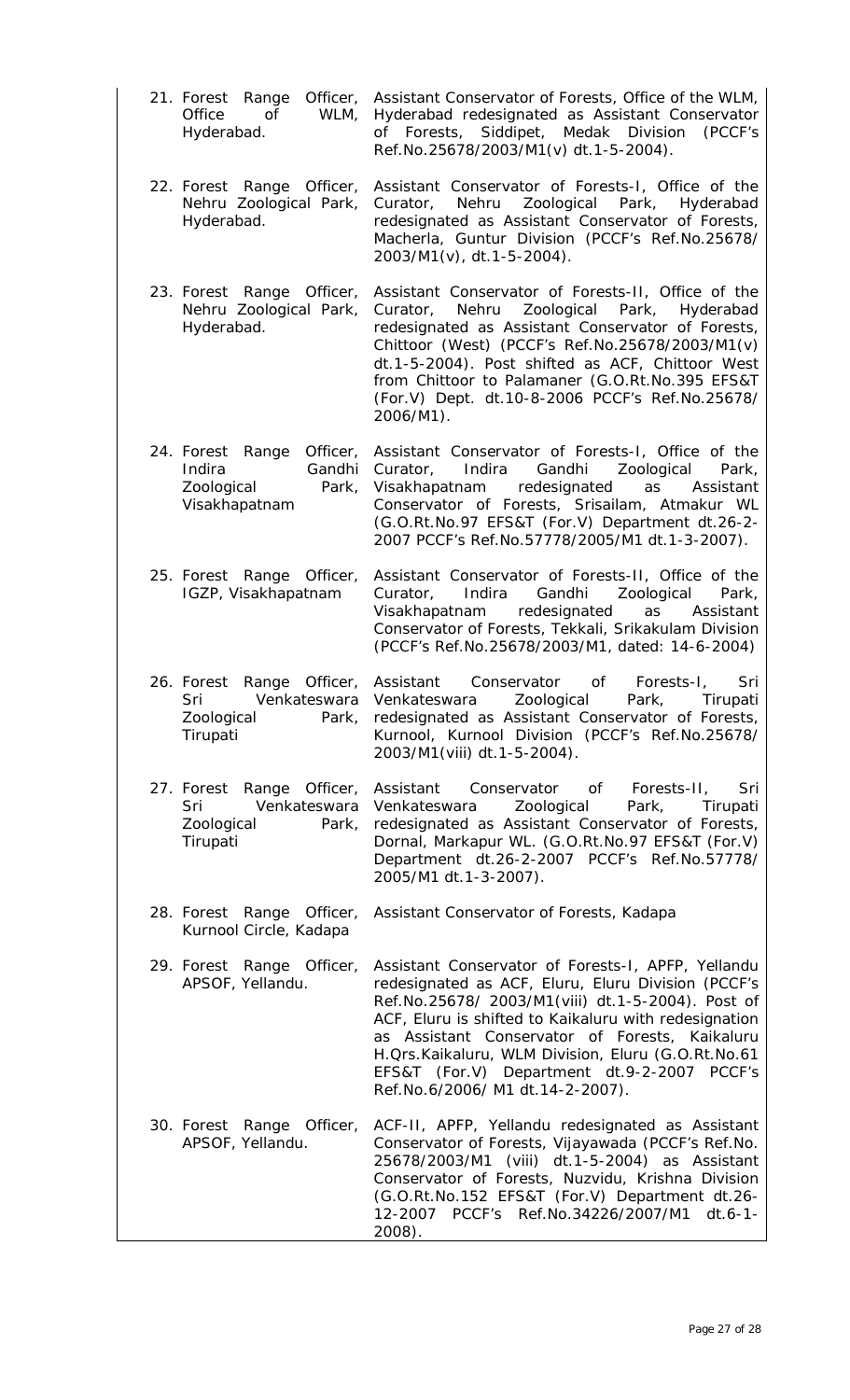- 21. Forest Range Officer, Assistant Conservator of Forests, Office of the WLM, Office of WLM, Hyderabad. Hyderabad redesignated as Assistant Conservator of Forests, Siddipet, Medak Division (PCCF's Ref.No.25678/2003/M1(v) dt.1-5-2004).
- 22. Forest Range Officer, Nehru Zoological Park, Hyderabad. Assistant Conservator of Forests-I, Office of the Curator, Nehru Zoological Park, Hyderabad redesignated as Assistant Conservator of Forests, Macherla, Guntur Division (PCCF's Ref.No.25678/ 2003/M1(v), dt.1-5-2004).
- 23. Forest Range Officer, Nehru Zoological Park, Hyderabad. Assistant Conservator of Forests-II, Office of the Curator, Nehru Zoological Park, Hyderabad redesignated as Assistant Conservator of Forests, Chittoor (West) (PCCF's Ref.No.25678/2003/M1(v) dt.1-5-2004). Post shifted as ACF, Chittoor West from Chittoor to Palamaner (G.O.Rt.No.395 EFS&T (For.V) Dept. dt.10-8-2006 PCCF's Ref.No.25678/ 2006/M1).
- 24. Forest Range Officer, Indira Gandhi Zoological Park, Visakhapatnam Assistant Conservator of Forests-I, Office of the Curator, Indira Gandhi Zoological Park, Visakhapatnam redesignated as Assistant Conservator of Forests, Srisailam, Atmakur WL (G.O.Rt.No.97 EFS&T (For.V) Department dt.26-2- 2007 PCCF's Ref.No.57778/2005/M1 dt.1-3-2007).
- 25. Forest Range Officer, IGZP, Visakhapatnam Assistant Conservator of Forests-II, Office of the Curator, Indira Gandhi Zoological Park, Visakhapatnam redesignated as Assistant Conservator of Forests, Tekkali, Srikakulam Division (PCCF's Ref.No.25678/2003/M1, dated: 14-6-2004)
- 26. Forest Range Officer, Sri Venkateswara Zoological Park, Tirupati Assistant Conservator of Forests-I, Sri Venkateswara Zoological Park, Tirupati redesignated as Assistant Conservator of Forests, Kurnool, Kurnool Division (PCCF's Ref.No.25678/ 2003/M1(viii) dt.1-5-2004).
- 27. Forest Range Officer, Sri Venkateswara Zoological Park, Tirupati Assistant Conservator of Forests-II, Sri Venkateswara Zoological Park, Tirupati redesignated as Assistant Conservator of Forests, Dornal, Markapur WL. (G.O.Rt.No.97 EFS&T (For.V) Department dt.26-2-2007 PCCF's Ref.No.57778/ 2005/M1 dt.1-3-2007).
- 28. Forest Range Officer, Kurnool Circle, Kadapa Assistant Conservator of Forests, Kadapa

29. Forest Range Officer, APSOF, Yellandu. Assistant Conservator of Forests-I, APFP, Yellandu redesignated as ACF, Eluru, Eluru Division (PCCF's Ref.No.25678/ 2003/M1(viii) dt.1-5-2004). Post of ACF, Eluru is shifted to Kaikaluru with redesignation as Assistant Conservator of Forests, Kaikaluru H.Qrs.Kaikaluru, WLM Division, Eluru (G.O.Rt.No.61 EFS&T (For.V) Department dt.9-2-2007 PCCF's Ref.No.6/2006/ M1 dt.14-2-2007).

30. Forest Range Officer, APSOF, Yellandu. ACF-II, APFP, Yellandu redesignated as Assistant Conservator of Forests, Vijayawada (PCCF's Ref.No. 25678/2003/M1 (viii) dt.1-5-2004) as Assistant Conservator of Forests, Nuzvidu, Krishna Division (G.O.Rt.No.152 EFS&T (For.V) Department dt.26- 12-2007 PCCF's Ref.No.34226/2007/M1 dt.6-1- 2008).